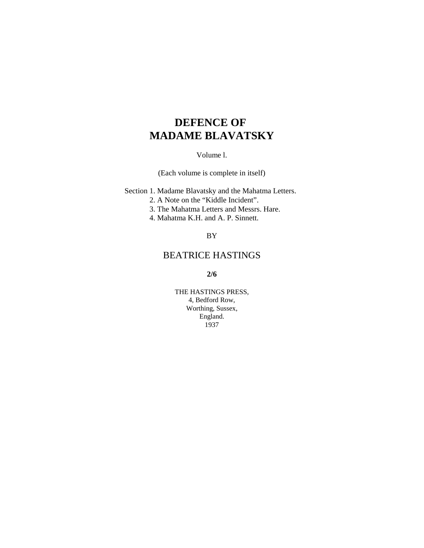# **DEFENCE OF MADAME BLAVATSKY**

Volume l.

(Each volume is complete in itself)

Section 1. Madame Blavatsky and the Mahatma Letters.

- 2. A Note on the "Kiddle Incident".
- 3. The Mahatma Letters and Messrs. Hare.
- 4. Mahatma K.H. and A. P. Sinnett.

## BY

# BEATRICE HASTINGS

**2/6**

THE HASTINGS PRESS, 4, Bedford Row, Worthing, Sussex, England. 1937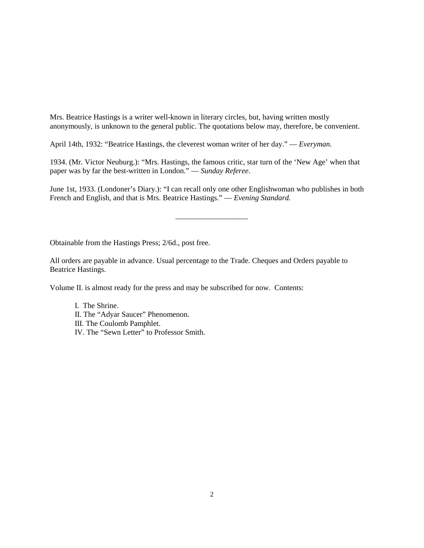Mrs. Beatrice Hastings is a writer well-known in literary circles, but, having written mostly anonymously, is unknown to the general public. The quotations below may, therefore, be convenient.

April 14th, 1932: "Beatrice Hastings, the cleverest woman writer of her day." — *Everyman*.

1934. (Mr. Victor Neuburg.): "Mrs. Hastings, the famous critic, star turn of the 'New Age' when that paper was by far the best-written in London." — *Sunday Referee*.

June 1st, 1933. (Londoner's Diary.): "I can recall only one other Englishwoman who publishes in both French and English, and that is Mrs. Beatrice Hastings." — *Evening Standard.*

\_\_\_\_\_\_\_\_\_\_\_\_\_\_\_\_\_\_\_

Obtainable from the Hastings Press; 2/6d., post free.

All orders are payable in advance. Usual percentage to the Trade. Cheques and Orders payable to Beatrice Hastings.

Volume II. is almost ready for the press and may be subscribed for now. Contents:

I. The Shrine. II. The "Adyar Saucer" Phenomenon. III. The Coulomb Pamphlet. IV. The "Sewn Letter" to Professor Smith.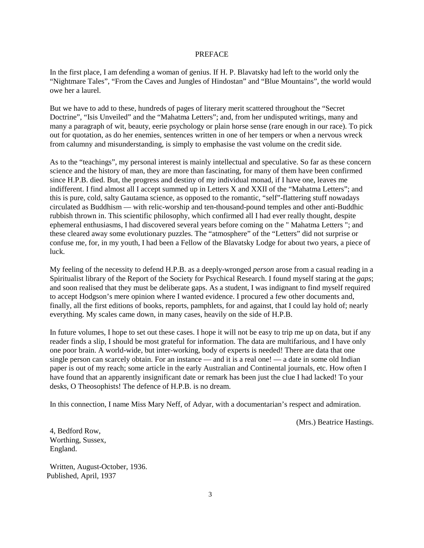#### PREFACE

In the first place, I am defending a woman of genius. If H. P. Blavatsky had left to the world only the "Nightmare Tales", "From the Caves and Jungles of Hindostan" and "Blue Mountains", the world would owe her a laurel.

But we have to add to these, hundreds of pages of literary merit scattered throughout the "Secret Doctrine", "Isis Unveiled" and the "Mahatma Letters"; and, from her undisputed writings, many and many a paragraph of wit, beauty, eerie psychology or plain horse sense (rare enough in our race). To pick out for quotation, as do her enemies, sentences written in one of her tempers or when a nervous wreck from calumny and misunderstanding, is simply to emphasise the vast volume on the credit side.

As to the "teachings", my personal interest is mainly intellectual and speculative. So far as these concern science and the history of man, they are more than fascinating, for many of them have been confirmed since H.P.B. died. But, the progress and destiny of my individual monad, if I have one, leaves me indifferent. I find almost all I accept summed up in Letters X and XXII of the "Mahatma Letters"; and this is pure, cold, salty Gautama science, as opposed to the romantic, "self"-flattering stuff nowadays circulated as Buddhism — with relic-worship and ten-thousand-pound temples and other anti-Buddhic rubbish thrown in. This scientific philosophy, which confirmed all I had ever really thought, despite ephemeral enthusiasms, I had discovered several years before coming on the " Mahatma Letters "; and these cleared away some evolutionary puzzles. The "atmosphere" of the "Letters" did not surprise or confuse me, for, in my youth, I had been a Fellow of the Blavatsky Lodge for about two years, a piece of luck.

My feeling of the necessity to defend H.P.B. as a deeply-wronged *person* arose from a casual reading in a Spiritualist library of the Report of the Society for Psychical Research. I found myself staring at the *gaps*; and soon realised that they must be deliberate gaps. As a student, I was indignant to find myself required to accept Hodgson's mere opinion where I wanted evidence. I procured a few other documents and, finally, all the first editions of books, reports, pamphlets, for and against, that I could lay hold of; nearly everything. My scales came down, in many cases, heavily on the side of H.P.B.

In future volumes, I hope to set out these cases. I hope it will not be easy to trip me up on data, but if any reader finds a slip, I should be most grateful for information. The data are multifarious, and I have only one poor brain. A world-wide, but inter-working, body of experts is needed! There are data that one single person can scarcely obtain. For an instance — and it is a real one! — a date in some old Indian paper is out of my reach; some article in the early Australian and Continental journals, etc. How often I have found that an apparently insignificant date or remark has been just the clue I had lacked! To your desks, O Theosophists! The defence of H.P.B. is no dream.

In this connection, I name Miss Mary Neff, of Adyar, with a documentarian's respect and admiration.

(Mrs.) Beatrice Hastings.

4, Bedford Row, Worthing, Sussex, England.

Written, August-October, 1936. Published, April, 1937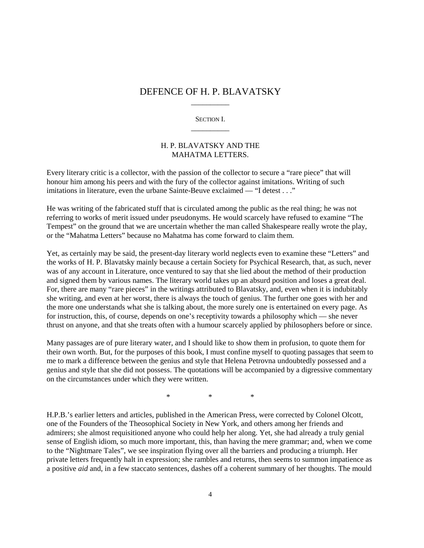# DEFENCE OF H. P. BLAVATSKY \_\_\_\_\_\_\_\_\_\_

SECTION I. \_\_\_\_\_\_\_\_\_\_

#### H. P. BLAVATSKY AND THE MAHATMA LETTERS.

Every literary critic is a collector, with the passion of the collector to secure a "rare piece" that will honour him among his peers and with the fury of the collector against imitations. Writing of such imitations in literature, even the urbane Sainte-Beuve exclaimed — "I detest . . ."

He was writing of the fabricated stuff that is circulated among the public as the real thing; he was not referring to works of merit issued under pseudonyms. He would scarcely have refused to examine "The Tempest" on the ground that we are uncertain whether the man called Shakespeare really wrote the play, or the "Mahatma Letters" because no Mahatma has come forward to claim them.

Yet, as certainly may be said, the present-day literary world neglects even to examine these "Letters" and the works of H. P. Blavatsky mainly because a certain Society for Psychical Research, that, as such, never was of any account in Literature, once ventured to say that she lied about the method of their production and signed them by various names. The literary world takes up an absurd position and loses a great deal. For, there are many "rare pieces" in the writings attributed to Blavatsky, and, even when it is indubitably she writing, and even at her worst, there is always the touch of genius. The further one goes with her and the more one understands what she is talking about, the more surely one is entertained on every page. As for instruction, this, of course, depends on one's receptivity towards a philosophy which — she never thrust on anyone, and that she treats often with a humour scarcely applied by philosophers before or since.

Many passages are of pure literary water, and I should like to show them in profusion, to quote them for their own worth. But, for the purposes of this book, I must confine myself to quoting passages that seem to me to mark a difference between the genius and style that Helena Petrovna undoubtedly possessed and a genius and style that she did not possess. The quotations will be accompanied by a digressive commentary on the circumstances under which they were written.

\* \* \*

H.P.B.'s earlier letters and articles, published in the American Press, were corrected by Colonel Olcott, one of the Founders of the Theosophical Society in New York, and others among her friends and admirers; she almost requisitioned anyone who could help her along. Yet, she had already a truly genial sense of English idiom, so much more important, this, than having the mere grammar; and, when we come to the "Nightmare Tales", we see inspiration flying over all the barriers and producing a triumph. Her private letters frequently halt in expression; she rambles and returns, then seems to summon impatience as a positive *aid* and, in a few staccato sentences, dashes off a coherent summary of her thoughts. The mould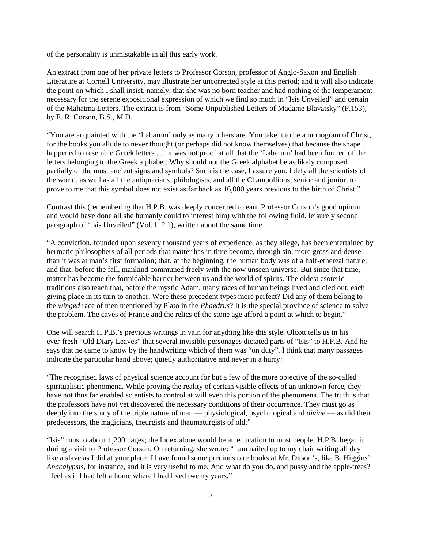of the personality is unmistakable in all this early work.

An extract from one of her private letters to Professor Corson, professor of Anglo-Saxon and English Literature at Cornell University, may illustrate her uncorrected style at this period; and it will also indicate the point on which I shall insist, namely, that she was no born teacher and had nothing of the temperament necessary for the serene expositional expression of which we find so much in "Isis Unveiled" and certain of the Mahatma Letters. The extract is from "Some Unpublished Letters of Madame Blavatsky" (P.153), by E. R. Corson, B.S., M.D.

"You are acquainted with the 'Labarum' only as many others are. You take it to be a monogram of Christ, for the books you allude to never thought (or perhaps did not know themselves) that because the shape . . . happened to resemble Greek letters . . . it was not proof at all that the 'Labarum' had been formed of the letters belonging to the Greek alphabet. Why should not the Greek alphabet be as likely composed partially of the most ancient signs and symbols? Such is the case, I assure you. I defy all the scientists of the world, as well as all the antiquarians, philologists, and all the Champollions, senior and junior, to prove to me that this symbol does not exist as far back as 16,000 years previous to the birth of Christ."

Contrast this (remembering that H.P.B. was deeply concerned to earn Professor Corson's good opinion and would have done all she humanly could to interest him) with the following fluid, leisurely second paragraph of "Isis Unveiled" (Vol. I. P.1), written about the same time.

"A conviction, founded upon seventy thousand years of experience, as they allege, has been entertained by hermetic philosophers of all periods that matter has in time become, through sin, more gross and dense than it was at man's first formation; that, at the beginning, the human body was of a half-ethereal nature; and that, before the fall, mankind communed freely with the now unseen universe. But since that time, matter has become the formidable barrier between us and the world of spirits. The oldest esoteric traditions also teach that, before the mystic Adam, many races of human beings lived and died out, each giving place in its turn to another. Were these precedent types more perfect? Did any of them belong to the *winged* race of men mentioned by Plato in the *Phaedrus*? It is the special province of science to solve the problem. The caves of France and the relics of the stone age afford a point at which to begin."

One will search H.P.B.'s previous writings in vain for anything like this style. Olcott tells us in his ever-fresh "Old Diary Leaves" that several invisible personages dictated parts of "Isis" to H.P.B. And he says that he came to know by the handwriting which of them was "on duty". I think that many passages indicate the particular hand above; quietly authoritative and never in a hurry:

"The recognised laws of physical science account for but a few of the more objective of the so-called spiritualistic phenomena. While proving the reality of certain visible effects of an unknown force, they have not thus far enabled scientists to control at will even this portion of the phenomena. The truth is that the professors have not yet discovered the necessary conditions of their occurrence. They must go as deeply into the study of the triple nature of man — physiological, psychological and *divine* — as did their predecessors, the magicians, theurgists and thaumaturgists of old."

"Isis" runs to about 1,200 pages; the Index alone would be an education to most people. H.P.B. began it during a visit to Professor Corson. On returning, she wrote: "I am nailed up to my chair writing all day like a slave as I did at your place. I have found some precious rare books at Mr. Ditson's, like B. Higgins' *Anacalypsis*, for instance, and it is very useful to me. And what do you do, and pussy and the apple-trees? I feel as if I had left a home where I had lived twenty years."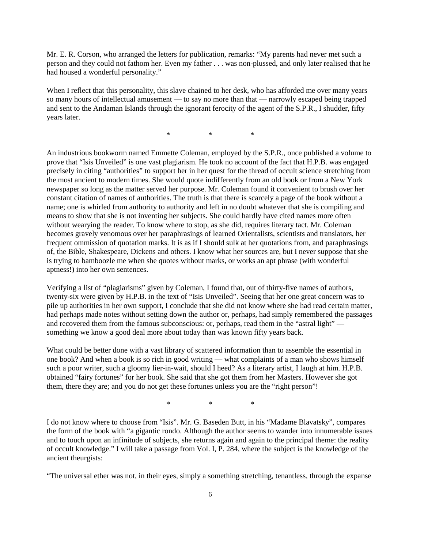Mr. E. R. Corson, who arranged the letters for publication, remarks: "My parents had never met such a person and they could not fathom her. Even my father . . . was non-plussed, and only later realised that he had housed a wonderful personality."

When I reflect that this personality, this slave chained to her desk, who has afforded me over many years so many hours of intellectual amusement — to say no more than that — narrowly escaped being trapped and sent to the Andaman Islands through the ignorant ferocity of the agent of the S.P.R., I shudder, fifty years later.

\* \* \*

An industrious bookworm named Emmette Coleman, employed by the S.P.R., once published a volume to prove that "Isis Unveiled" is one vast plagiarism. He took no account of the fact that H.P.B. was engaged precisely in citing "authorities" to support her in her quest for the thread of occult science stretching from the most ancient to modern times. She would quote indifferently from an old book or from a New York newspaper so long as the matter served her purpose. Mr. Coleman found it convenient to brush over her constant citation of names of authorities. The truth is that there is scarcely a page of the book without a name; one is whirled from authority to authority and left in no doubt whatever that she is compiling and means to show that she is not inventing her subjects. She could hardly have cited names more often without wearying the reader. To know where to stop, as she did, requires literary tact. Mr. Coleman becomes gravely venomous over her paraphrasings of learned Orientalists, scientists and translators, her frequent ommission of quotation marks. It is as if I should sulk at her quotations from, and paraphrasings of, the Bible, Shakespeare, Dickens and others. I know what her sources are, but I never suppose that she is trying to bamboozle me when she quotes without marks, or works an apt phrase (with wonderful aptness!) into her own sentences.

Verifying a list of "plagiarisms" given by Coleman, I found that, out of thirty-five names of authors, twenty-six were given by H.P.B. in the text of "Isis Unveiled". Seeing that her one great concern was to pile up authorities in her own support, I conclude that she did not know where she had read certain matter, had perhaps made notes without setting down the author or, perhaps, had simply remembered the passages and recovered them from the famous subconscious: or, perhaps, read them in the "astral light" something we know a good deal more about today than was known fifty years back.

What could be better done with a vast library of scattered information than to assemble the essential in one book? And when a book is so rich in good writing — what complaints of a man who shows himself such a poor writer, such a gloomy lier-in-wait, should I heed? As a literary artist, I laugh at him. H.P.B. obtained "fairy fortunes" for her book. She said that she got them from her Masters. However she got them, there they are; and you do not get these fortunes unless you are the "right person"!

\* \* \*

I do not know where to choose from "Isis". Mr. G. Baseden Butt, in his "Madame Blavatsky", compares the form of the book with "a gigantic rondo. Although the author seems to wander into innumerable issues and to touch upon an infinitude of subjects, she returns again and again to the principal theme: the reality of occult knowledge." I will take a passage from Vol. I, P. 284, where the subject is the knowledge of the ancient theurgists:

"The universal ether was not, in their eyes, simply a something stretching, tenantless, through the expanse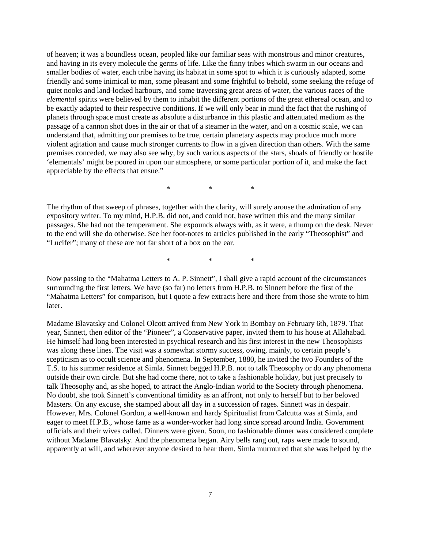of heaven; it was a boundless ocean, peopled like our familiar seas with monstrous and minor creatures, and having in its every molecule the germs of life. Like the finny tribes which swarm in our oceans and smaller bodies of water, each tribe having its habitat in some spot to which it is curiously adapted, some friendly and some inimical to man, some pleasant and some frightful to behold, some seeking the refuge of quiet nooks and land-locked harbours, and some traversing great areas of water, the various races of the *elemental* spirits were believed by them to inhabit the different portions of the great ethereal ocean, and to be exactly adapted to their respective conditions. If we will only bear in mind the fact that the rushing of planets through space must create as absolute a disturbance in this plastic and attenuated medium as the passage of a cannon shot does in the air or that of a steamer in the water, and on a cosmic scale, we can understand that, admitting our premises to be true, certain planetary aspects may produce much more violent agitation and cause much stronger currents to flow in a given direction than others. With the same premises conceded, we may also see why, by such various aspects of the stars, shoals of friendly or hostile 'elementals' might be poured in upon our atmosphere, or some particular portion of it, and make the fact appreciable by the effects that ensue."

\* \* \*

The rhythm of that sweep of phrases, together with the clarity, will surely arouse the admiration of any expository writer. To my mind, H.P.B. did not, and could not, have written this and the many similar passages. She had not the temperament. She expounds always with, as it were, a thump on the desk. Never to the end will she do otherwise. See her foot-notes to articles published in the early "Theosophist" and "Lucifer"; many of these are not far short of a box on the ear.

\* \* \*

Now passing to the "Mahatma Letters to A. P. Sinnett", I shall give a rapid account of the circumstances surrounding the first letters. We have (so far) no letters from H.P.B. to Sinnett before the first of the "Mahatma Letters" for comparison, but I quote a few extracts here and there from those she wrote to him later.

Madame Blavatsky and Colonel Olcott arrived from New York in Bombay on February 6th, 1879. That year, Sinnett, then editor of the "Pioneer", a Conservative paper, invited them to his house at Allahabad. He himself had long been interested in psychical research and his first interest in the new Theosophists was along these lines. The visit was a somewhat stormy success, owing, mainly, to certain people's scepticism as to occult science and phenomena. In September, 1880, he invited the two Founders of the T.S. to his summer residence at Simla. Sinnett begged H.P.B. not to talk Theosophy or do any phenomena outside their own circle. But she had come there, not to take a fashionable holiday, but just precisely to talk Theosophy and, as she hoped, to attract the Anglo-Indian world to the Society through phenomena. No doubt, she took Sinnett's conventional timidity as an affront, not only to herself but to her beloved Masters. On any excuse, she stamped about all day in a succession of rages. Sinnett was in despair. However, Mrs. Colonel Gordon, a well-known and hardy Spiritualist from Calcutta was at Simla, and eager to meet H.P.B., whose fame as a wonder-worker had long since spread around India. Government officials and their wives called. Dinners were given. Soon, no fashionable dinner was considered complete without Madame Blavatsky. And the phenomena began. Airy bells rang out, raps were made to sound, apparently at will, and wherever anyone desired to hear them. Simla murmured that she was helped by the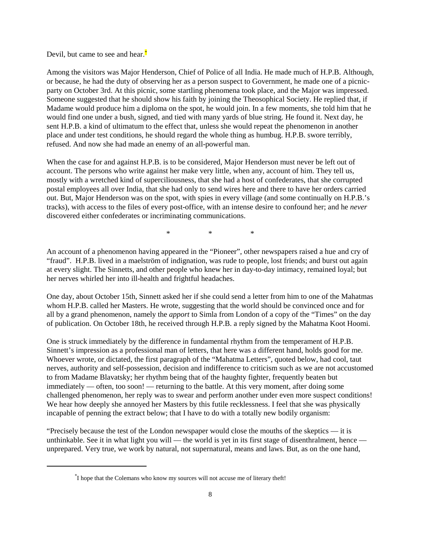Devil, but came to see and hear. $\ddot{\bullet}$ 

Among the visitors was Major Henderson, Chief of Police of all India. He made much of H.P.B. Although, or because, he had the duty of observing her as a person suspect to Government, he made one of a picnicparty on October 3rd. At this picnic, some startling phenomena took place, and the Major was impressed. Someone suggested that he should show his faith by joining the Theosophical Society. He replied that, if Madame would produce him a diploma on the spot, he would join. In a few moments, she told him that he would find one under a bush, signed, and tied with many yards of blue string. He found it. Next day, he sent H.P.B. a kind of ultimatum to the effect that, unless she would repeat the phenomenon in another place and under test conditions, he should regard the whole thing as humbug. H.P.B. swore terribly, refused. And now she had made an enemy of an all-powerful man.

When the case for and against H.P.B. is to be considered, Major Henderson must never be left out of account. The persons who write against her make very little, when any, account of him. They tell us, mostly with a wretched kind of superciliousness, that she had a host of confederates, that she corrupted postal employees all over India, that she had only to send wires here and there to have her orders carried out. But, Major Henderson was on the spot, with spies in every village (and some continually on H.P.B.'s tracks), with access to the files of every post-office, with an intense desire to confound her; and he *never* discovered either confederates or incriminating communications.

\* \* \*

An account of a phenomenon having appeared in the "Pioneer", other newspapers raised a hue and cry of "fraud". H.P.B. lived in a maelström of indignation, was rude to people, lost friends; and burst out again at every slight. The Sinnetts, and other people who knew her in day-to-day intimacy, remained loyal; but her nerves whirled her into ill-health and frightful headaches.

One day, about October 15th, Sinnett asked her if she could send a letter from him to one of the Mahatmas whom H.P.B. called her Masters. He wrote, suggesting that the world should be convinced once and for all by a grand phenomenon, namely the *apport* to Simla from London of a copy of the "Times" on the day of publication. On October 18th, he received through H.P.B. a reply signed by the Mahatma Koot Hoomi.

One is struck immediately by the difference in fundamental rhythm from the temperament of H.P.B. Sinnett's impression as a professional man of letters, that here was a different hand, holds good for me. Whoever wrote, or dictated, the first paragraph of the "Mahatma Letters", quoted below, had cool, taut nerves, authority and self-possession, decision and indifference to criticism such as we are not accustomed to from Madame Blavatsky; her rhythm being that of the haughty fighter, frequently beaten but immediately — often, too soon! — returning to the battle. At this very moment, after doing some challenged phenomenon, her reply was to swear and perform another under even more suspect conditions! We hear how deeply she annoyed her Masters by this futile recklessness. I feel that she was physically incapable of penning the extract below; that I have to do with a totally new bodily organism:

"Precisely because the test of the London newspaper would close the mouths of the skeptics — it is unthinkable. See it in what light you will — the world is yet in its first stage of disenthralment, hence unprepared. Very true, we work by natural, not supernatural, means and laws. But, as on the one hand,

<sup>\*</sup> I hope that the Colemans who know my sources will not accuse me of literary theft!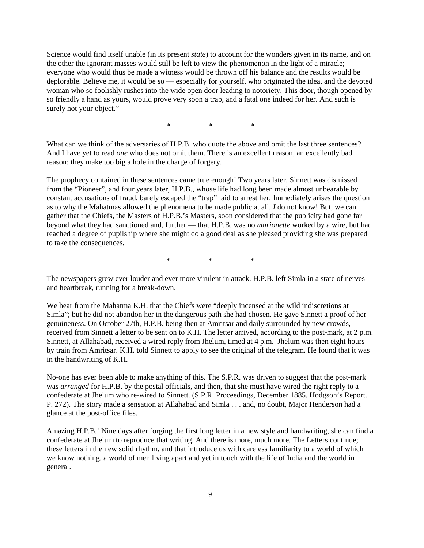Science would find itself unable (in its present *state*) to account for the wonders given in its name, and on the other the ignorant masses would still be left to view the phenomenon in the light of a miracle; everyone who would thus be made a witness would be thrown off his balance and the results would be deplorable. Believe me, it would be so — especially for yourself, who originated the idea, and the devoted woman who so foolishly rushes into the wide open door leading to notoriety. This door, though opened by so friendly a hand as yours, would prove very soon a trap, and a fatal one indeed for her. And such is surely not your object."

\* \* \*

What can we think of the adversaries of H.P.B. who quote the above and omit the last three sentences? And I have yet to read *one* who does not omit them. There is an excellent reason, an excellently bad reason: they make too big a hole in the charge of forgery.

The prophecy contained in these sentences came true enough! Two years later, Sinnett was dismissed from the "Pioneer", and four years later, H.P.B., whose life had long been made almost unbearable by constant accusations of fraud, barely escaped the "trap" laid to arrest her. Immediately arises the question as to why the Mahatmas allowed the phenomena to be made public at all. *I* do not know! But, we can gather that the Chiefs, the Masters of H.P.B.'s Masters, soon considered that the publicity had gone far beyond what they had sanctioned and, further — that H.P.B. was no *marionette* worked by a wire, but had reached a degree of pupilship where she might do a good deal as she pleased providing she was prepared to take the consequences.

\* \* \*

The newspapers grew ever louder and ever more virulent in attack. H.P.B. left Simla in a state of nerves and heartbreak, running for a break-down.

We hear from the Mahatma K.H. that the Chiefs were "deeply incensed at the wild indiscretions at Simla"; but he did not abandon her in the dangerous path she had chosen. He gave Sinnett a proof of her genuineness. On October 27th, H.P.B. being then at Amritsar and daily surrounded by new crowds, received from Sinnett a letter to be sent on to K.H. The letter arrived, according to the post-mark, at 2 p.m. Sinnett, at Allahabad, received a wired reply from Jhelum, timed at 4 p.m. Jhelum was then eight hours by train from Amritsar. K.H. told Sinnett to apply to see the original of the telegram. He found that it was in the handwriting of K.H.

No-one has ever been able to make anything of this. The S.P.R. was driven to suggest that the post-mark was *arranged* for H.P.B. by the postal officials, and then, that she must have wired the right reply to a confederate at Jhelum who re-wired to Sinnett. (S.P.R. Proceedings, December 1885. Hodgson's Report. P. 272). The story made a sensation at Allahabad and Simla . . . and, no doubt, Major Henderson had a glance at the post-office files.

Amazing H.P.B.! Nine days after forging the first long letter in a new style and handwriting, she can find a confederate at Jhelum to reproduce that writing. And there is more, much more. The Letters continue; these letters in the new solid rhythm, and that introduce us with careless familiarity to a world of which we know nothing, a world of men living apart and yet in touch with the life of India and the world in general.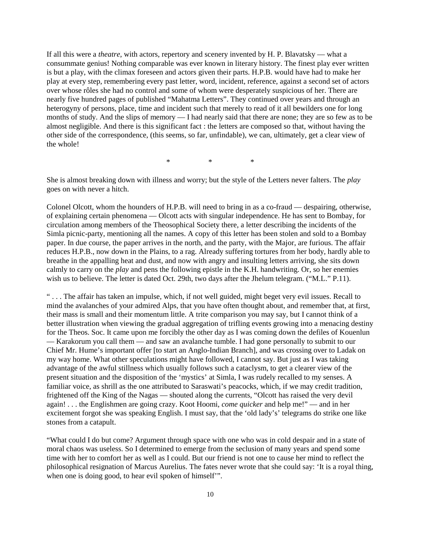If all this were a *theatre*, with actors, repertory and scenery invented by H. P. Blavatsky — what a consummate genius! Nothing comparable was ever known in literary history. The finest play ever written is but a play, with the climax foreseen and actors given their parts. H.P.B. would have had to make her play at every step, remembering every past letter, word, incident, reference, against a second set of actors over whose rôles she had no control and some of whom were desperately suspicious of her. There are nearly five hundred pages of published "Mahatma Letters". They continued over years and through an heterogyny of persons, place, time and incident such that merely to read of it all bewilders one for long months of study. And the slips of memory — I had nearly said that there are none; they are so few as to be almost negligible. And there is this significant fact : the letters are composed so that, without having the other side of the correspondence, (this seems, so far, unfindable), we can, ultimately, get a clear view of the whole!

\* \* \*

She is almost breaking down with illness and worry; but the style of the Letters never falters. The *play* goes on with never a hitch.

Colonel Olcott, whom the hounders of H.P.B. will need to bring in as a co-fraud — despairing, otherwise, of explaining certain phenomena — Olcott acts with singular independence. He has sent to Bombay, for circulation among members of the Theosophical Society there, a letter describing the incidents of the Simla picnic-party, mentioning all the names. A copy of this letter has been stolen and sold to a Bombay paper. In due course, the paper arrives in the north, and the party, with the Major, are furious. The affair reduces H.P.B., now down in the Plains, to a rag. Already suffering tortures from her body, hardly able to breathe in the appalling heat and dust, and now with angry and insulting letters arriving, she sits down calmly to carry on the *play* and pens the following epistle in the K.H. handwriting. Or, so her enemies wish us to believe. The letter is dated Oct. 29th, two days after the Jhelum telegram. ("M.L." P.11).

" . . . The affair has taken an impulse, which, if not well guided, might beget very evil issues. Recall to mind the avalanches of your admired Alps, that you have often thought about, and remember that, at first, their mass is small and their momentum little. A trite comparison you may say, but I cannot think of a better illustration when viewing the gradual aggregation of trifling events growing into a menacing destiny for the Theos. Soc. It came upon me forcibly the other day as I was coming down the defiles of Kouenlun — Karakorum you call them — and saw an avalanche tumble. I had gone personally to submit to our Chief Mr. Hume's important offer [to start an Anglo-Indian Branch], and was crossing over to Ladak on my way home. What other speculations might have followed, I cannot say. But just as I was taking advantage of the awful stillness which usually follows such a cataclysm, to get a clearer view of the present situation and the disposition of the 'mystics' at Simla, I was rudely recalled to my senses. A familiar voice, as shrill as the one attributed to Saraswati's peacocks, which, if we may credit tradition, frightened off the King of the Nagas — shouted along the currents, "Olcott has raised the very devil again! . . . the Englishmen are going crazy. Koot Hoomi, *come quicker* and help me!" — and in her excitement forgot she was speaking English. I must say, that the 'old lady's' telegrams do strike one like stones from a catapult.

"What could I do but come? Argument through space with one who was in cold despair and in a state of moral chaos was useless. So I determined to emerge from the seclusion of many years and spend some time with her to comfort her as well as I could. But our friend is not one to cause her mind to reflect the philosophical resignation of Marcus Aurelius. The fates never wrote that she could say: 'It is a royal thing, when one is doing good, to hear evil spoken of himself".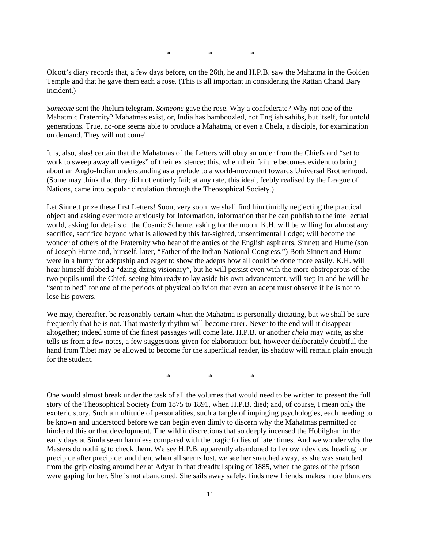\* \* \*

Olcott's diary records that, a few days before, on the 26th, he and H.P.B. saw the Mahatma in the Golden Temple and that he gave them each a rose. (This is all important in considering the Rattan Chand Bary incident.)

*Someone* sent the Jhelum telegram. *Someone* gave the rose. Why a confederate? Why not one of the Mahatmic Fraternity? Mahatmas exist, or, India has bamboozled, not English sahibs, but itself, for untold generations. True, no-one seems able to produce a Mahatma, or even a Chela, a disciple, for examination on demand. They will not come!

It is, also, alas! certain that the Mahatmas of the Letters will obey an order from the Chiefs and "set to work to sweep away all vestiges" of their existence; this, when their failure becomes evident to bring about an Anglo-Indian understanding as a prelude to a world-movement towards Universal Brotherhood. (Some may think that they did not entirely fail; at any rate, this ideal, feebly realised by the League of Nations, came into popular circulation through the Theosophical Society.)

Let Sinnett prize these first Letters! Soon, very soon, we shall find him timidly neglecting the practical object and asking ever more anxiously for Information, information that he can publish to the intellectual world, asking for details of the Cosmic Scheme, asking for the moon. K.H. will be willing for almost any sacrifice, sacrifice beyond what is allowed by this far-sighted, unsentimental Lodge; will become the wonder of others of the Fraternity who hear of the antics of the English aspirants, Sinnett and Hume (son of Joseph Hume and, himself, later, "Father of the Indian National Congress.") Both Sinnett and Hume were in a hurry for adeptship and eager to show the adepts how all could be done more easily. K.H. will hear himself dubbed a "dzing-dzing visionary", but he will persist even with the more obstreperous of the two pupils until the Chief, seeing him ready to lay aside his own advancement, will step in and he will be "sent to bed" for one of the periods of physical oblivion that even an adept must observe if he is not to lose his powers.

We may, thereafter, be reasonably certain when the Mahatma is personally dictating, but we shall be sure frequently that he is not. That masterly rhythm will become rarer. Never to the end will it disappear altogether; indeed some of the finest passages will come late. H.P.B. or another *chela* may write, as she tells us from a few notes, a few suggestions given for elaboration; but, however deliberately doubtful the hand from Tibet may be allowed to become for the superficial reader, its shadow will remain plain enough for the student.

\* \* \*

One would almost break under the task of all the volumes that would need to be written to present the full story of the Theosophical Society from 1875 to 1891, when H.P.B. died; and, of course, I mean only the exoteric story. Such a multitude of personalities, such a tangle of impinging psychologies, each needing to be known and understood before we can begin even dimly to discern why the Mahatmas permitted or hindered this or that development. The wild indiscretions that so deeply incensed the Hobilghan in the early days at Simla seem harmless compared with the tragic follies of later times. And we wonder why the Masters do nothing to check them. We see H.P.B. apparently abandoned to her own devices, heading for precipice after precipice; and then, when all seems lost, we see her snatched away, as she was snatched from the grip closing around her at Adyar in that dreadful spring of 1885, when the gates of the prison were gaping for her. She is not abandoned. She sails away safely, finds new friends, makes more blunders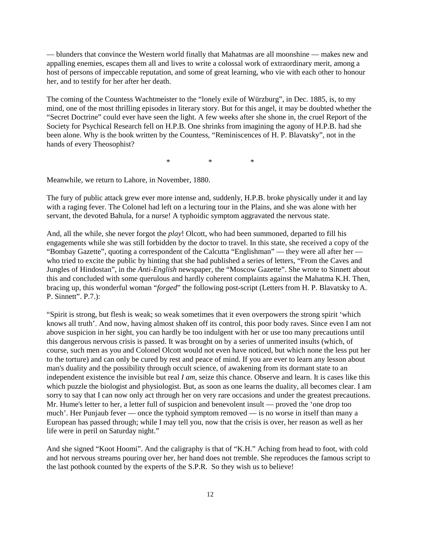— blunders that convince the Western world finally that Mahatmas are all moonshine — makes new and appalling enemies, escapes them all and lives to write a colossal work of extraordinary merit, among a host of persons of impeccable reputation, and some of great learning, who vie with each other to honour her, and to testify for her after her death.

The coming of the Countess Wachtmeister to the "lonely exile of Würzburg", in Dec. 1885, is, to my mind, one of the most thrilling episodes in literary story. But for this angel, it may be doubted whether the "Secret Doctrine" could ever have seen the light. A few weeks after she shone in, the cruel Report of the Society for Psychical Research fell on H.P.B. One shrinks from imagining the agony of H.P.B. had she been alone. Why is the book written by the Countess, "Reminiscences of H. P. Blavatsky", not in the hands of every Theosophist?

\* \* \*

Meanwhile, we return to Lahore, in November, 1880.

The fury of public attack grew ever more intense and, suddenly, H.P.B. broke physically under it and lay with a raging fever. The Colonel had left on a lecturing tour in the Plains, and she was alone with her servant, the devoted Bahula, for a nurse! A typhoidic symptom aggravated the nervous state.

And, all the while, she never forgot the *play*! Olcott, who had been summoned, departed to fill his engagements while she was still forbidden by the doctor to travel. In this state, she received a copy of the "Bombay Gazette", quoting a correspondent of the Calcutta "Englishman" — they were all after her who tried to excite the public by hinting that she had published a series of letters, "From the Caves and Jungles of Hindostan", in the *Anti-English* newspaper, the "Moscow Gazette". She wrote to Sinnett about this and concluded with some querulous and hardly coherent complaints against the Mahatma K.H. Then, bracing up, this wonderful woman "*forged*" the following post-script (Letters from H. P. Blavatsky to A. P. Sinnett". P.7.):

"Spirit is strong, but flesh is weak; so weak sometimes that it even overpowers the strong spirit 'which knows all truth'. And now, having almost shaken off its control, this poor body raves. Since even I am not above suspicion in her sight, you can hardly be too indulgent with her or use too many precautions until this dangerous nervous crisis is passed. It was brought on by a series of unmerited insults (which, of course, such men as you and Colonel Olcott would not even have noticed, but which none the less put her to the torture) and can only be cured by rest and peace of mind. If you are ever to learn any lesson about man's duality and the possibility through occult science, of awakening from its dormant state to an independent existence the invisible but real *I am*, seize this chance. Observe and learn. It is cases like this which puzzle the biologist and physiologist. But, as soon as one learns the duality, all becomes clear. I am sorry to say that I can now only act through her on very rare occasions and under the greatest precautions. Mr. Hume's letter to her, a letter full of suspicion and benevolent insult — proved the 'one drop too much'. Her Punjaub fever — once the typhoid symptom removed — is no worse in itself than many a European has passed through; while I may tell you, now that the crisis is over, her reason as well as her life were in peril on Saturday night."

And she signed "Koot Hoomi". And the caligraphy is that of "K.H." Aching from head to foot, with cold and hot nervous streams pouring over her, her hand does not tremble. She reproduces the famous script to the last pothook counted by the experts of the S.P.R. So they wish us to believe!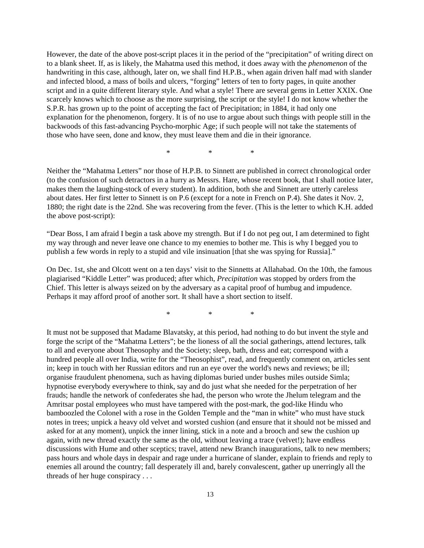However, the date of the above post-script places it in the period of the "precipitation" of writing direct on to a blank sheet. If, as is likely, the Mahatma used this method, it does away with the *phenomenon* of the handwriting in this case, although, later on, we shall find H.P.B., when again driven half mad with slander and infected blood, a mass of boils and ulcers, "forging" letters of ten to forty pages, in quite another script and in a quite different literary style. And what a style! There are several gems in Letter XXIX. One scarcely knows which to choose as the more surprising, the script or the style! I do not know whether the S.P.R. has grown up to the point of accepting the fact of Precipitation; in 1884, it had only one explanation for the phenomenon, forgery. It is of no use to argue about such things with people still in the backwoods of this fast-advancing Psycho-morphic Age; if such people will not take the statements of those who have seen, done and know, they must leave them and die in their ignorance.

\* \* \*

Neither the "Mahatma Letters" nor those of H.P.B. to Sinnett are published in correct chronological order (to the confusion of such detractors in a hurry as Messrs. Hare, whose recent book, that I shall notice later, makes them the laughing-stock of every student). In addition, both she and Sinnett are utterly careless about dates. Her first letter to Sinnett is on P.6 (except for a note in French on P.4). She dates it Nov. 2, 1880; the right date is the 22nd. She was recovering from the fever. (This is the letter to which K.H. added the above post-script):

"Dear Boss, I am afraid I begin a task above my strength. But if I do not peg out, I am determined to fight my way through and never leave one chance to my enemies to bother me. This is why I begged you to publish a few words in reply to a stupid and vile insinuation [that she was spying for Russia]."

On Dec. 1st, she and Olcott went on a ten days' visit to the Sinnetts at Allahabad. On the 10th, the famous plagiarised "Kiddle Letter" was produced; after which, *Precipitation* was stopped by orders from the Chief. This letter is always seized on by the adversary as a capital proof of humbug and impudence. Perhaps it may afford proof of another sort. It shall have a short section to itself.

\* \* \*

It must not be supposed that Madame Blavatsky, at this period, had nothing to do but invent the style and forge the script of the "Mahatma Letters"; be the lioness of all the social gatherings, attend lectures, talk to all and everyone about Theosophy and the Society; sleep, bath, dress and eat; correspond with a hundred people all over India, write for the "Theosophist", read, and frequently comment on, articles sent in; keep in touch with her Russian editors and run an eye over the world's news and reviews; be ill; organise fraudulent phenomena, such as having diplomas buried under bushes miles outside Simla; hypnotise everybody everywhere to think, say and do just what she needed for the perpetration of her frauds; handle the network of confederates she had, the person who wrote the Jhelum telegram and the Amritsar postal employees who must have tampered with the post-mark, the god-like Hindu who bamboozled the Colonel with a rose in the Golden Temple and the "man in white" who must have stuck notes in trees; unpick a heavy old velvet and worsted cushion (and ensure that it should not be missed and asked for at any moment), unpick the inner lining, stick in a note and a brooch and sew the cushion up again, with new thread exactly the same as the old, without leaving a trace (velvet!); have endless discussions with Hume and other sceptics; travel, attend new Branch inaugurations, talk to new members; pass hours and whole days in despair and rage under a hurricane of slander, explain to friends and reply to enemies all around the country; fall desperately ill and, barely convalescent, gather up unerringly all the threads of her huge conspiracy . . .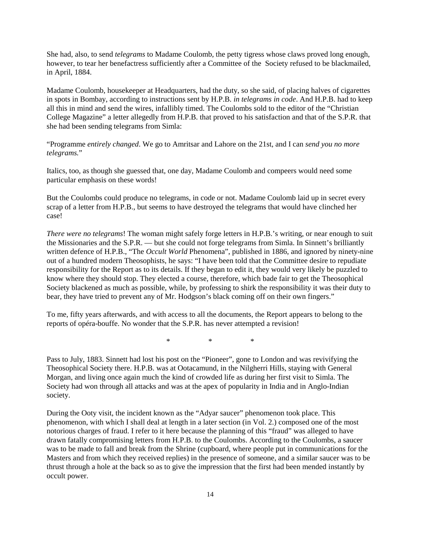She had, also, to send *telegrams* to Madame Coulomb, the petty tigress whose claws proved long enough, however, to tear her benefactress sufficiently after a Committee of the Society refused to be blackmailed, in April, 1884.

Madame Coulomb, housekeeper at Headquarters, had the duty, so she said, of placing halves of cigarettes in spots in Bombay, according to instructions sent by H.P.B. *in telegrams in code*. And H.P.B. had to keep all this in mind and send the wires, infallibly timed. The Coulombs sold to the editor of the "Christian College Magazine" a letter allegedly from H.P.B. that proved to his satisfaction and that of the S.P.R. that she had been sending telegrams from Simla:

"Programme *entirely changed*. We go to Amritsar and Lahore on the 21st, and I can *send you no more telegrams.*"

Italics, too, as though she guessed that, one day, Madame Coulomb and compeers would need some particular emphasis on these words!

But the Coulombs could produce no telegrams, in code or not. Madame Coulomb laid up in secret every scrap of a letter from H.P.B., but seems to have destroyed the telegrams that would have clinched her case!

*There were no telegrams*! The woman might safely forge letters in H.P.B.'s writing, or near enough to suit the Missionaries and the S.P.R. — but she could not forge telegrams from Simla. In Sinnett's brilliantly written defence of H.P.B., "The *Occult World* Phenomena", published in 1886, and ignored by ninety-nine out of a hundred modern Theosophists, he says: "I have been told that the Committee desire to repudiate responsibility for the Report as to its details. If they began to edit it, they would very likely be puzzled to know where they should stop. They elected a course, therefore, which bade fair to get the Theosophical Society blackened as much as possible, while, by professing to shirk the responsibility it was their duty to bear, they have tried to prevent any of Mr. Hodgson's black coming off on their own fingers."

To me, fifty years afterwards, and with access to all the documents, the Report appears to belong to the reports of opéra-bouffe. No wonder that the S.P.R. has never attempted a revision!

\* \* \*

Pass to July, 1883. Sinnett had lost his post on the "Pioneer", gone to London and was revivifying the Theosophical Society there. H.P.B. was at Ootacamund, in the Nilgherri Hills, staying with General Morgan, and living once again much the kind of crowded life as during her first visit to Simla. The Society had won through all attacks and was at the apex of popularity in India and in Anglo-Indian society.

During the Ooty visit, the incident known as the "Adyar saucer" phenomenon took place. This phenomenon, with which I shall deal at length in a later section (in Vol. 2.) composed one of the most notorious charges of fraud. I refer to it here because the planning of this "fraud" was alleged to have drawn fatally compromising letters from H.P.B. to the Coulombs. According to the Coulombs, a saucer was to be made to fall and break from the Shrine (cupboard, where people put in communications for the Masters and from which they received replies) in the presence of someone, and a similar saucer was to be thrust through a hole at the back so as to give the impression that the first had been mended instantly by occult power.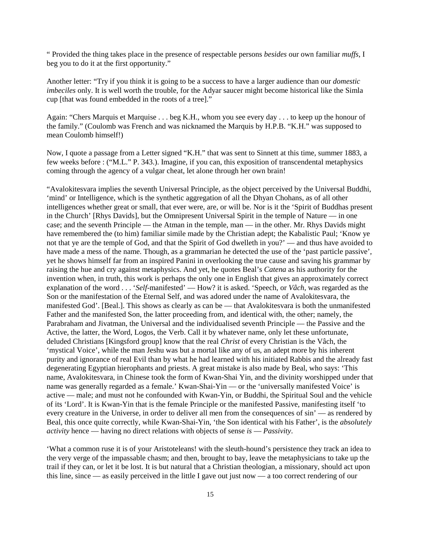" Provided the thing takes place in the presence of respectable persons *besides* our own familiar *muffs*, I beg you to do it at the first opportunity."

Another letter: "Try if you think it is going to be a success to have a larger audience than our *domestic imbeciles* only. It is well worth the trouble, for the Adyar saucer might become historical like the Simla cup [that was found embedded in the roots of a tree]."

Again: "Chers Marquis et Marquise . . . beg K.H., whom you see every day . . . to keep up the honour of the family." (Coulomb was French and was nicknamed the Marquis by H.P.B. "K.H." was supposed to mean Coulomb himself!)

Now, I quote a passage from a Letter signed "K.H." that was sent to Sinnett at this time, summer 1883, a few weeks before : ("M.L." P. 343.). Imagine, if you can, this exposition of transcendental metaphysics coming through the agency of a vulgar cheat, let alone through her own brain!

"Avalokitesvara implies the seventh Universal Principle, as the object perceived by the Universal Buddhi, 'mind' or Intelligence, which is the synthetic aggregation of all the Dhyan Chohans, as of all other intelligences whether great or small, that ever were, are, or will be. Nor is it the 'Spirit of Buddhas present in the Church' [Rhys Davids], but the Omnipresent Universal Spirit in the temple of Nature — in one case; and the seventh Principle — the Atman in the temple, man — in the other. Mr. Rhys Davids might have remembered the (to him) familiar simile made by the Christian adept; the Kabalistic Paul; 'Know ye not that ye are the temple of God, and that the Spirit of God dwelleth in you?' — and thus have avoided to have made a mess of the name. Though, as a grammarian he detected the use of the 'past particle passive', yet he shows himself far from an inspired Panini in overlooking the true cause and saving his grammar by raising the hue and cry against metaphysics. And yet, he quotes Beal's *Catena* as his authority for the invention when, in truth, this work is perhaps the only one in English that gives an approximately correct explanation of the word . . . '*Self*-manifested' — How? it is asked. 'Speech, or *Vâch*, was regarded as the Son or the manifestation of the Eternal Self, and was adored under the name of Avalokitesvara, the manifested God'. [Beal.]. This shows as clearly as can be — that Avalokitesvara is both the unmanifested Father and the manifested Son, the latter proceeding from, and identical with, the other; namely, the Parabraham and Jivatman, the Universal and the individualised seventh Principle — the Passive and the Active, the latter, the Word, Logos, the Verb. Call it by whatever name, only let these unfortunate, deluded Christians [Kingsford group] know that the real *Christ* of every Christian is the Vâch, the 'mystical Voice', while the man Jeshu was but a mortal like any of us, an adept more by his inherent purity and ignorance of real Evil than by what he had learned with his initiated Rabbis and the already fast degenerating Egyptian hierophants and priests. A great mistake is also made by Beal, who says: 'This name, Avalokitesvara, in Chinese took the form of Kwan-Shai Yin, and the divinity worshipped under that name was generally regarded as a female.' Kwan-Shai-Yin — or the 'universally manifested Voice' is active — male; and must not he confounded with Kwan-Yin, or Buddhi, the Spiritual Soul and the vehicle of its 'Lord'. It is Kwan-Yin that is the female Principle or the manifested Passive, manifesting itself 'to every creature in the Universe, in order to deliver all men from the consequences of sin' — as rendered by Beal, this once quite correctly, while Kwan-Shai-Yin, 'the Son identical with his Father', is the *absolutely activity* hence — having no direct relations with objects of sense *is* — *Passivity*.

'What a common ruse it is of your Aristoteleans! with the sleuth-hound's persistence they track an idea to the very verge of the impassable chasm; and then, brought to bay, leave the metaphysicians to take up the trail if they can, or let it be lost. It is but natural that a Christian theologian, a missionary, should act upon this line, since — as easily perceived in the little I gave out just now — a too correct rendering of our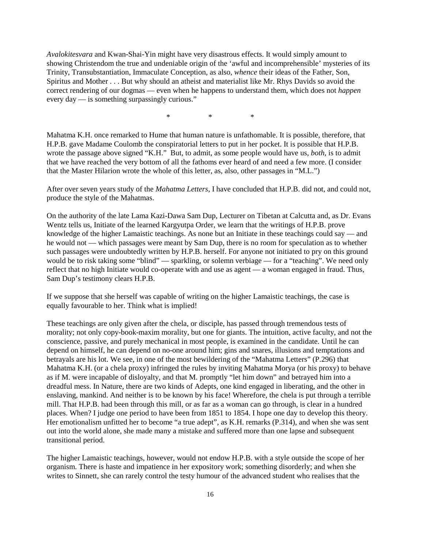*Avalokitesvara* and Kwan-Shai-Yin might have very disastrous effects. It would simply amount to showing Christendom the true and undeniable origin of the 'awful and incomprehensible' mysteries of its Trinity, Transubstantiation, Immaculate Conception, as also, *whence* their ideas of the Father, Son, Spiritus and Mother . . . But why should an atheist and materialist like Mr. Rhys Davids so avoid the correct rendering of our dogmas — even when he happens to understand them, which does not *happen* every day — is something surpassingly curious."

\* \* \*

Mahatma K.H. once remarked to Hume that human nature is unfathomable. It is possible, therefore, that H.P.B. gave Madame Coulomb the conspiratorial letters to put in her pocket. It is possible that H.P.B. wrote the passage above signed "K.H." But, to admit, as some people would have us, *both*, is to admit that we have reached the very bottom of all the fathoms ever heard of and need a few more. (I consider that the Master Hilarion wrote the whole of this letter, as, also, other passages in "M.L.")

After over seven years study of the *Mahatma Letters*, I have concluded that H.P.B. did not, and could not, produce the style of the Mahatmas.

On the authority of the late Lama Kazi-Dawa Sam Dup, Lecturer on Tibetan at Calcutta and, as Dr. Evans Wentz tells us, Initiate of the learned Kargyutpa Order, we learn that the writings of H.P.B. prove knowledge of the higher Lamaistic teachings. As none but an Initiate in these teachings could say — and he would not — which passages were meant by Sam Dup, there is no room for speculation as to whether such passages were undoubtedly written by H.P.B. herself. For anyone not initiated to pry on this ground would be to risk taking some "blind" — sparkling, or solemn verbiage — for a "teaching". We need only reflect that no high Initiate would co-operate with and use as agent — a woman engaged in fraud. Thus, Sam Dup's testimony clears H.P.B.

If we suppose that she herself was capable of writing on the higher Lamaistic teachings, the case is equally favourable to her. Think what is implied!

These teachings are only given after the chela, or disciple, has passed through tremendous tests of morality; not only copy-book-maxim morality, but one for giants. The intuition, active faculty, and not the conscience, passive, and purely mechanical in most people, is examined in the candidate. Until he can depend on himself, he can depend on no-one around him; gins and snares, illusions and temptations and betrayals are his lot. We see, in one of the most bewildering of the "Mahatma Letters" (P.296) that Mahatma K.H. (or a chela proxy) infringed the rules by inviting Mahatma Morya (or his proxy) to behave as if M. were incapable of disloyalty, and that M. promptly "let him down" and betrayed him into a dreadful mess. In Nature, there are two kinds of Adepts, one kind engaged in liberating, and the other in enslaving, mankind. And neither is to be known by his face! Wherefore, the chela is put through a terrible mill. That H.P.B. had been through this mill, or as far as a woman can go through, is clear in a hundred places. When? I judge one period to have been from 1851 to 1854. I hope one day to develop this theory. Her emotionalism unfitted her to become "a true adept", as K.H. remarks (P.314), and when she was sent out into the world alone, she made many a mistake and suffered more than one lapse and subsequent transitional period.

The higher Lamaistic teachings, however, would not endow H.P.B. with a style outside the scope of her organism. There is haste and impatience in her expository work; something disorderly; and when she writes to Sinnett, she can rarely control the testy humour of the advanced student who realises that the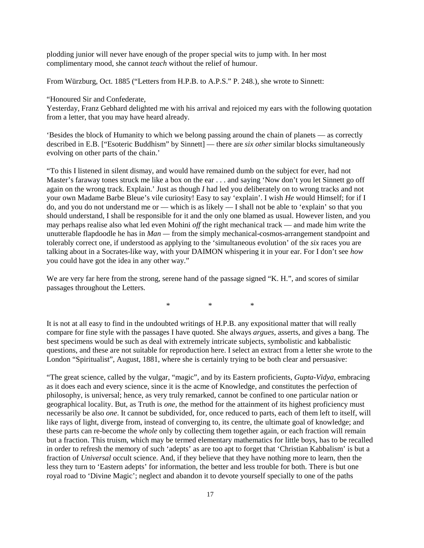plodding junior will never have enough of the proper special wits to jump with. In her most complimentary mood, she cannot *teach* without the relief of humour.

From Würzburg, Oct. 1885 ("Letters from H.P.B. to A.P.S." P. 248.), she wrote to Sinnett:

"Honoured Sir and Confederate,

Yesterday, Franz Gebhard delighted me with his arrival and rejoiced my ears with the following quotation from a letter, that you may have heard already.

'Besides the block of Humanity to which we belong passing around the chain of planets — as correctly described in E.B. ["Esoteric Buddhism" by Sinnett] — there are *six other* similar blocks simultaneously evolving on other parts of the chain.'

"To this I listened in silent dismay, and would have remained dumb on the subject for ever, had not Master's faraway tones struck me like a box on the ear . . . and saying 'Now don't you let Sinnett go off again on the wrong track. Explain.' Just as though *I* had led you deliberately on to wrong tracks and not your own Madame Barbe Bleue's vile curiosity! Easy to say 'explain'. I wish *He* would Himself; for if I do, and you do not understand me or — which is as likely — I shall not be able to 'explain' so that you should understand, I shall be responsible for it and the only one blamed as usual. However listen, and you may perhaps realise also what led even Mohini *off* the right mechanical track — and made him write the unutterable flapdoodle he has in *Man —* from the simply mechanical-cosmos-arrangement standpoint and tolerably correct one, if understood as applying to the 'simultaneous evolution' of the *six* races you are talking about in a Socrates-like way, with your DAIMON whispering it in your ear. For I don't see *how* you could have got the idea in any other way."

We are very far here from the strong, serene hand of the passage signed "K. H.", and scores of similar passages throughout the Letters.

\* \* \*

It is not at all easy to find in the undoubted writings of H.P.B. any expositional matter that will really compare for fine style with the passages I have quoted. She always *argues*, asserts, and gives a bang. The best specimens would be such as deal with extremely intricate subjects, symbolistic and kabbalistic questions, and these are not suitable for reproduction here. I select an extract from a letter she wrote to the London "Spiritualist", August, 1881, where she is certainly trying to be both clear and persuasive:

"The great science, called by the vulgar, "magic", and by its Eastern proficients, *Gupta-Vidya*, embracing as it does each and every science, since it is the acme of Knowledge, and constitutes the perfection of philosophy, is universal; hence, as very truly remarked, cannot be confined to one particular nation or geographical locality. But, as Truth is *one*, the method for the attainment of its highest proficiency must necessarily be also *one*. It cannot be subdivided, for, once reduced to parts, each of them left to itself, will like rays of light, diverge from, instead of converging to, its centre, the ultimate goal of knowledge; and these parts can re-become the *whole* only by collecting them together again, or each fraction will remain but a fraction. This truism, which may be termed elementary mathematics for little boys, has to be recalled in order to refresh the memory of such 'adepts' as are too apt to forget that 'Christian Kabbalism' is but a fraction of *Universal* occult science. And, if they believe that they have nothing more to learn, then the less they turn to 'Eastern adepts' for information, the better and less trouble for both. There is but one royal road to 'Divine Magic'; neglect and abandon it to devote yourself specially to one of the paths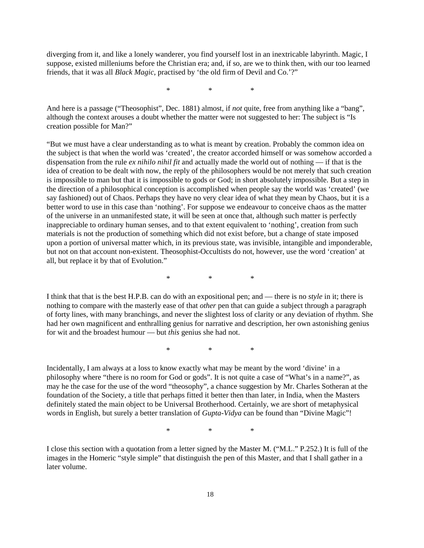diverging from it, and like a lonely wanderer, you find yourself lost in an inextricable labyrinth. Magic, I suppose, existed milleniums before the Christian era; and, if so, are we to think then, with our too learned friends, that it was all *Black Magic*, practised by 'the old firm of Devil and Co.'?"

\* \* \*

And here is a passage ("Theosophist", Dec. 1881) almost, if *not* quite, free from anything like a "bang", although the context arouses a doubt whether the matter were not suggested to her: The subject is "Is creation possible for Man?"

"But we must have a clear understanding as to what is meant by creation. Probably the common idea on the subject is that when the world was 'created', the creator accorded himself or was somehow accorded a dispensation from the rule *ex nihilo nihil fit* and actually made the world out of nothing — if that is the idea of creation to be dealt with now, the reply of the philosophers would be not merely that such creation is impossible to man but that it is impossible to gods or God; in short absolutely impossible. But a step in the direction of a philosophical conception is accomplished when people say the world was 'created' (we say fashioned) out of Chaos. Perhaps they have no very clear idea of what they mean by Chaos, but it is a better word to use in this case than 'nothing'. For suppose we endeavour to conceive chaos as the matter of the universe in an unmanifested state, it will be seen at once that, although such matter is perfectly inappreciable to ordinary human senses, and to that extent equivalent to 'nothing', creation from such materials is not the production of something which did not exist before, but a change of state imposed upon a portion of universal matter which, in its previous state, was invisible, intangible and imponderable, but not on that account non-existent. Theosophist-Occultists do not, however, use the word 'creation' at all, but replace it by that of Evolution."

\* \* \*

I think that that is the best H.P.B. can do with an expositional pen; and — there is no *style* in it; there is nothing to compare with the masterly ease of that *other* pen that can guide a subject through a paragraph of forty lines, with many branchings, and never the slightest loss of clarity or any deviation of rhythm. She had her own magnificent and enthralling genius for narrative and description, her own astonishing genius for wit and the broadest humour — but *this* genius she had not.

\* \* \*

Incidentally, I am always at a loss to know exactly what may be meant by the word 'divine' in a philosophy where "there is no room for God or gods". It is not quite a case of "What's in a name?", as may he the case for the use of the word "theosophy", a chance suggestion by Mr. Charles Sotheran at the foundation of the Society, a title that perhaps fitted it better then than later, in India, when the Masters definitely stated the main object to be Universal Brotherhood. Certainly, we are short of metaphysical words in English, but surely a better translation of *Gupta-Vidya* can be found than "Divine Magic"!

\* \* \*

I close this section with a quotation from a letter signed by the Master M. ("M.L." P.252.) It is full of the images in the Homeric "style simple" that distinguish the pen of this Master, and that I shall gather in a later volume.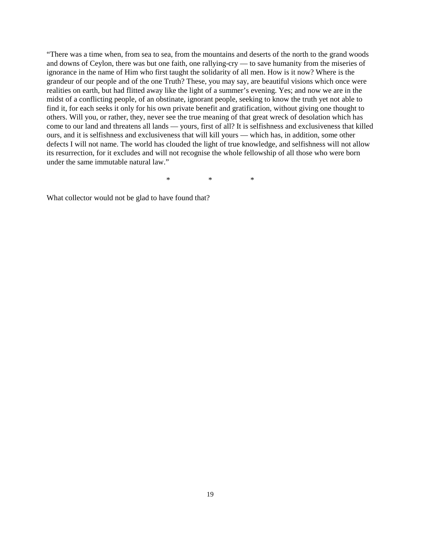"There was a time when, from sea to sea, from the mountains and deserts of the north to the grand woods and downs of Ceylon, there was but one faith, one rallying-cry — to save humanity from the miseries of ignorance in the name of Him who first taught the solidarity of all men. How is it now? Where is the grandeur of our people and of the one Truth? These, you may say, are beautiful visions which once were realities on earth, but had flitted away like the light of a summer's evening. Yes; and now we are in the midst of a conflicting people, of an obstinate, ignorant people, seeking to know the truth yet not able to find it, for each seeks it only for his own private benefit and gratification, without giving one thought to others. Will you, or rather, they, never see the true meaning of that great wreck of desolation which has come to our land and threatens all lands — yours, first of all? It is selfishness and exclusiveness that killed ours, and it is selfishness and exclusiveness that will kill yours — which has, in addition, some other defects I will not name. The world has clouded the light of true knowledge, and selfishness will not allow its resurrection, for it excludes and will not recognise the whole fellowship of all those who were born under the same immutable natural law."

\* \* \*

What collector would not be glad to have found that?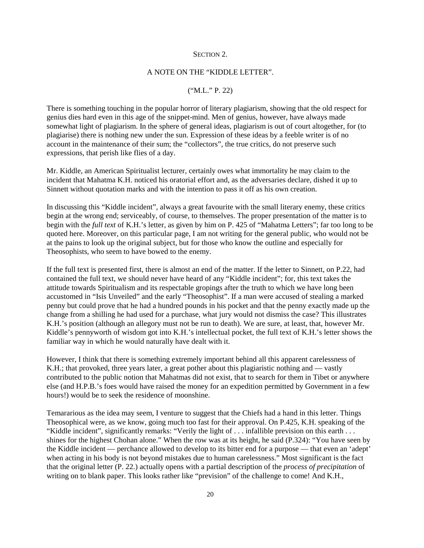#### SECTION<sub>2</sub>.

#### A NOTE ON THE "KIDDLE LETTER".

#### ("M.L." P. 22)

There is something touching in the popular horror of literary plagiarism, showing that the old respect for genius dies hard even in this age of the snippet-mind. Men of genius, however, have always made somewhat light of plagiarism. In the sphere of general ideas, plagiarism is out of court altogether, for (to plagiarise) there is nothing new under the sun. Expression of these ideas by a feeble writer is of no account in the maintenance of their sum; the "collectors", the true critics, do not preserve such expressions, that perish like flies of a day.

Mr. Kiddle, an American Spiritualist lecturer, certainly owes what immortality he may claim to the incident that Mahatma K.H. noticed his oratorial effort and, as the adversaries declare, dished it up to Sinnett without quotation marks and with the intention to pass it off as his own creation.

In discussing this "Kiddle incident", always a great favourite with the small literary enemy, these critics begin at the wrong end; serviceably, of course, to themselves. The proper presentation of the matter is to begin with the *full text* of K.H.'s letter, as given by him on P. 425 of "Mahatma Letters"; far too long to be quoted here. Moreover, on this particular page, I am not writing for the general public, who would not be at the pains to look up the original subject, but for those who know the outline and especially for Theosophists, who seem to have bowed to the enemy.

If the full text is presented first, there is almost an end of the matter. If the letter to Sinnett, on P.22, had contained the full text, we should never have heard of any "Kiddle incident"; for, this text takes the attitude towards Spiritualism and its respectable gropings after the truth to which we have long been accustomed in "Isis Unveiled" and the early "Theosophist". If a man were accused of stealing a marked penny but could prove that he had a hundred pounds in his pocket and that the penny exactly made up the change from a shilling he had used for a purchase, what jury would not dismiss the case? This illustrates K.H.'s position (although an allegory must not be run to death). We are sure, at least, that, however Mr. Kiddle's pennyworth of wisdom got into K.H.'s intellectual pocket, the full text of K.H.'s letter shows the familiar way in which he would naturally have dealt with it.

However, I think that there is something extremely important behind all this apparent carelessness of K.H.; that provoked, three years later, a great pother about this plagiaristic nothing and — vastly contributed to the public notion that Mahatmas did not exist, that to search for them in Tibet or anywhere else (and H.P.B.'s foes would have raised the money for an expedition permitted by Government in a few hours!) would be to seek the residence of moonshine.

Temararious as the idea may seem, I venture to suggest that the Chiefs had a hand in this letter. Things Theosophical were, as we know, going much too fast for their approval. On P.425, K.H. speaking of the "Kiddle incident", significantly remarks: "Verily the light of . . . infallible prevision on this earth . . . shines for the highest Chohan alone." When the row was at its height, he said (P.324): "You have seen by the Kiddle incident — perchance allowed to develop to its bitter end for a purpose — that even an 'adept' when acting in his body is not beyond mistakes due to human carelessness." Most significant is the fact that the original letter (P. 22.) actually opens with a partial description of the *process of precipitation* of writing on to blank paper. This looks rather like "prevision" of the challenge to come! And K.H.,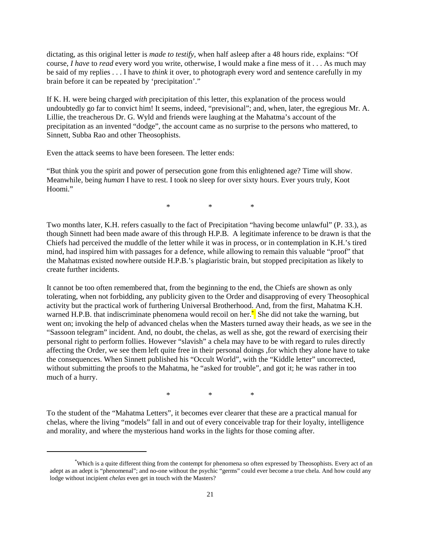dictating, as this original letter is *made to testify*, when half asleep after a 48 hours ride, explains: "Of course, *I have* to *read* every word you write, otherwise, I would make a fine mess of it . . . As much may be said of my replies . . . I have to *think* it over, to photograph every word and sentence carefully in my brain before it can be repeated by 'precipitation'."

If K. H. were being charged *with* precipitation of this letter, this explanation of the process would undoubtedly go far to convict him! It seems, indeed, "previsional"; and, when, later, the egregious Mr. A. Lillie, the treacherous Dr. G. Wyld and friends were laughing at the Mahatma's account of the precipitation as an invented "dodge", the account came as no surprise to the persons who mattered, to Sinnett, Subba Rao and other Theosophists.

Even the attack seems to have been foreseen. The letter ends:

"But think you the spirit and power of persecution gone from this enlightened age? Time will show. Meanwhile, being *human* I have to rest. I took no sleep for over sixty hours. Ever yours truly, Koot Hoomi."

\* \* \*

Two months later, K.H. refers casually to the fact of Precipitation "having become unlawful" (P. 33.), as though Sinnett had been made aware of this through H.P.B. A legitimate inference to be drawn is that the Chiefs had perceived the muddle of the letter while it was in process, or in contemplation in K.H.'s tired mind, had inspired him with passages for a defence, while allowing to remain this valuable "proof" that the Mahatmas existed nowhere outside H.P.B.'s plagiaristic brain, but stopped precipitation as likely to create further incidents.

It cannot be too often remembered that, from the beginning to the end, the Chiefs are shown as only tolerating, when not forbidding, any publicity given to the Order and disapproving of every Theosophical activity but the practical work of furthering Universal Brotherhood. And, from the first, Mahatma K.H. warned H.P.B. that indiscriminate phenomena would recoil on her.<sup>\*</sup> She did not take the warning, but went on; invoking the help of advanced chelas when the Masters turned away their heads, as we see in the "Sassoon telegram" incident. And, no doubt, the chelas, as well as she, got the reward of exercising their personal right to perform follies. However "slavish" a chela may have to be with regard to rules directly affecting the Order, we see them left quite free in their personal doings ,for which they alone have to take the consequences. When Sinnett published his "Occult World", with the "Kiddle letter" uncorrected, without submitting the proofs to the Mahatma, he "asked for trouble", and got it; he was rather in too much of a hurry.

\* \* \*

To the student of the "Mahatma Letters", it becomes ever clearer that these are a practical manual for chelas, where the living "models" fall in and out of every conceivable trap for their loyalty, intelligence and morality, and where the mysterious hand works in the lights for those coming after.

<sup>\*</sup> Which is a quite different thing from the contempt for phenomena so often expressed by Theosophists. Every act of an adept as an adept is "phenomenal"; and no-one without the psychic "germs" could ever become a true chela. And how could any lodge without incipient *chelas* even get in touch with the Masters?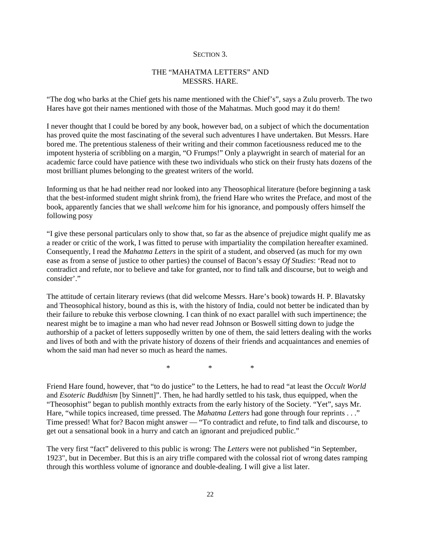#### SECTION 3.

### THE "MAHATMA LETTERS" AND MESSRS. HARE.

"The dog who barks at the Chief gets his name mentioned with the Chief's", says a Zulu proverb. The two Hares have got their names mentioned with those of the Mahatmas. Much good may it do them!

I never thought that I could be bored by any book, however bad, on a subject of which the documentation has proved quite the most fascinating of the several such adventures I have undertaken. But Messrs. Hare bored me. The pretentious staleness of their writing and their common facetiousness reduced me to the impotent hysteria of scribbling on a margin, "O Frumps!" Only a playwright in search of material for an academic farce could have patience with these two individuals who stick on their frusty hats dozens of the most brilliant plumes belonging to the greatest writers of the world.

Informing us that he had neither read nor looked into any Theosophical literature (before beginning a task that the best-informed student might shrink from), the friend Hare who writes the Preface, and most of the book, apparently fancies that we shall *welcome* him for his ignorance, and pompously offers himself the following posy

"I give these personal particulars only to show that, so far as the absence of prejudice might qualify me as a reader or critic of the work, I was fitted to peruse with impartiality the compilation hereafter examined. Consequently, I read the *Mahatma Letters* in the spirit of a student, and observed (as much for my own ease as from a sense of justice to other parties) the counsel of Bacon's essay *Of Studies*: 'Read not to contradict and refute, nor to believe and take for granted, nor to find talk and discourse, but to weigh and consider'."

The attitude of certain literary reviews (that did welcome Messrs. Hare's book) towards H. P. Blavatsky and Theosophical history, bound as this is, with the history of India, could not better be indicated than by their failure to rebuke this verbose clowning. I can think of no exact parallel with such impertinence; the nearest might be to imagine a man who had never read Johnson or Boswell sitting down to judge the authorship of a packet of letters supposedly written by one of them, the said letters dealing with the works and lives of both and with the private history of dozens of their friends and acquaintances and enemies of whom the said man had never so much as heard the names.

\* \* \*

Friend Hare found, however, that "to do justice" to the Letters, he had to read "at least the *Occult World* and *Esoteric Buddhism* [by Sinnett]". Then, he had hardly settled to his task, thus equipped, when the "Theosophist" began to publish monthly extracts from the early history of the Society. "Yet", says Mr. Hare, "while topics increased, time pressed. The *Mahatma Letters* had gone through four reprints . . ." Time pressed! What for? Bacon might answer — "To contradict and refute, to find talk and discourse, to get out a sensational book in a hurry and catch an ignorant and prejudiced public."

The very first "fact" delivered to this public is wrong: The *Letters* were not published "in September, 1923", but in December. But this is an airy trifle compared with the colossal riot of wrong dates ramping through this worthless volume of ignorance and double-dealing. I will give a list later.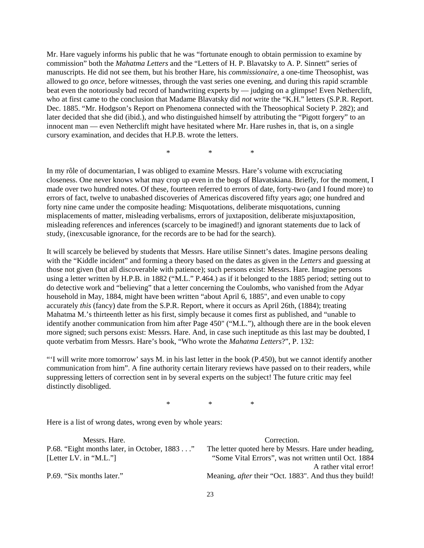Mr. Hare vaguely informs his public that he was "fortunate enough to obtain permission to examine by commission" both the *Mahatma Letters* and the "Letters of H. P. Blavatsky to A. P. Sinnett" series of manuscripts. He did not see them, but his brother Hare, his *commissionaire*, a one-time Theosophist, was allowed to go *once*, before witnesses, through the vast series one evening, and during this rapid scramble beat even the notoriously bad record of handwriting experts by — judging on a glimpse! Even Netherclift, who at first came to the conclusion that Madame Blavatsky did *not* write the "K.H." letters (S.P.R. Report. Dec. 1885. "Mr. Hodgson's Report on Phenomena connected with the Theosophical Society P. 282); and later decided that she did (ibid.), and who distinguished himself by attributing the "Pigott forgery" to an innocent man — even Netherclift might have hesitated where Mr. Hare rushes in, that is, on a single cursory examination, and decides that H.P.B. wrote the letters.

\* \* \*

In my rôle of documentarian, I was obliged to examine Messrs. Hare's volume with excruciating closeness. One never knows what may crop up even in the bogs of Blavatskiana. Briefly, for the moment, I made over two hundred notes. Of these, fourteen referred to errors of date, forty-two (and I found more) to errors of fact, twelve to unabashed discoveries of Americas discovered fifty years ago; one hundred and forty nine came under the composite heading: Misquotations, deliberate misquotations, cunning misplacements of matter, misleading verbalisms, errors of juxtaposition, deliberate misjuxtaposition, misleading references and inferences (scarcely to be imagined!) and ignorant statements due to lack of study, (inexcusable ignorance, for the records are to be had for the search).

It will scarcely be believed by students that Messrs. Hare utilise Sinnett's dates. Imagine persons dealing with the "Kiddle incident" and forming a theory based on the dates as given in the *Letters* and guessing at those not given (but all discoverable with patience); such persons exist: Messrs. Hare. Imagine persons using a letter written by H.P.B. in 1882 ("M.L." P.464.) as if it belonged to the 1885 period; setting out to do detective work and "believing" that a letter concerning the Coulombs, who vanished from the Adyar household in May, 1884, might have been written "about April 6, 1885", and even unable to copy accurately *this* (fancy) date from the S.P.R. Report, where it occurs as April 26th, (1884); treating Mahatma M.'s thirteenth letter as his first, simply because it comes first as published, and "unable to identify another communication from him after Page 450" ("M.L."), although there are in the book eleven more signed; such persons exist: Messrs. Hare. And, in case such ineptitude as this last may be doubted, I quote verbatim from Messrs. Hare's book, "Who wrote the *Mahatma Letters*?", P. 132:

"I will write more tomorrow' says M, in his last letter in the book  $(P.450)$ , but we cannot identify another communication from him". A fine authority certain literary reviews have passed on to their readers, while suppressing letters of correction sent in by several experts on the subject! The future critic may feel distinctly disobliged.

\* \* \*

Here is a list of wrong dates, wrong even by whole years:

| Messrs. Hare.                                | Correction.                                                   |
|----------------------------------------------|---------------------------------------------------------------|
| P.68. "Eight months later, in October, 1883" | The letter quoted here by Messrs. Hare under heading,         |
| [Letter LV. in "M.L."]                       | "Some Vital Errors", was not written until Oct. 1884          |
|                                              | A rather vital error!                                         |
| P.69. "Six months later."                    | Meaning, <i>after</i> their "Oct. 1883". And thus they build! |
|                                              |                                                               |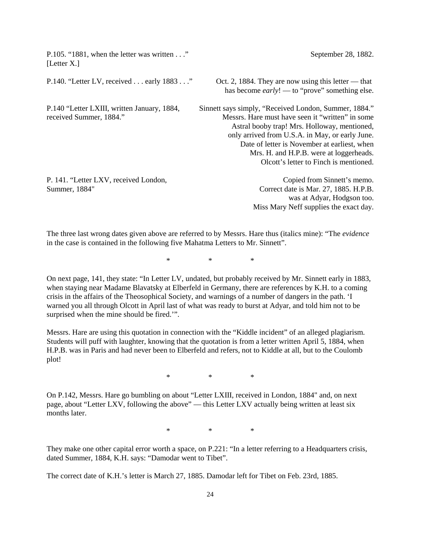| P.105. "1881, when the letter was written"<br>[Letter X.]              | September 28, 1882.                                                                                                                                                                                                                                                                                                                               |
|------------------------------------------------------------------------|---------------------------------------------------------------------------------------------------------------------------------------------------------------------------------------------------------------------------------------------------------------------------------------------------------------------------------------------------|
| P.140. "Letter LV, received $\dots$ early 1883 $\dots$ "               | Oct. 2, 1884. They are now using this letter — that<br>has become $early!$ — to "prove" something else.                                                                                                                                                                                                                                           |
| P.140 "Letter LXIII, written January, 1884,<br>received Summer, 1884." | Sinnett says simply, "Received London, Summer, 1884."<br>Messrs. Hare must have seen it "written" in some<br>Astral booby trap! Mrs. Holloway, mentioned,<br>only arrived from U.S.A. in May, or early June.<br>Date of letter is November at earliest, when<br>Mrs. H. and H.P.B. were at loggerheads.<br>Olcott's letter to Finch is mentioned. |
| P. 141. "Letter LXV, received London,<br>Summer, 1884"                 | Copied from Sinnett's memo.<br>Correct date is Mar. 27, 1885. H.P.B.<br>was at Adyar, Hodgson too.<br>Miss Mary Neff supplies the exact day.                                                                                                                                                                                                      |

The three last wrong dates given above are referred to by Messrs. Hare thus (italics mine): "The *evidence* in the case is contained in the following five Mahatma Letters to Mr. Sinnett".

\* \* \*

On next page, 141, they state: "In Letter LV, undated, but probably received by Mr. Sinnett early in 1883, when staying near Madame Blavatsky at Elberfeld in Germany, there are references by K.H. to a coming crisis in the affairs of the Theosophical Society, and warnings of a number of dangers in the path. 'I warned you all through Olcott in April last of what was ready to burst at Adyar, and told him not to be surprised when the mine should be fired.'".

Messrs. Hare are using this quotation in connection with the "Kiddle incident" of an alleged plagiarism. Students will puff with laughter, knowing that the quotation is from a letter written April 5, 1884, when H.P.B. was in Paris and had never been to Elberfeld and refers, not to Kiddle at all, but to the Coulomb plot!

\* \* \*

On P.142, Messrs. Hare go bumbling on about "Letter LXIII, received in London, 1884" and, on next page, about "Letter LXV, following the above" — this Letter LXV actually being written at least six months later.

\* \* \*

They make one other capital error worth a space, on P.221: "In a letter referring to a Headquarters crisis, dated Summer, 1884, K.H. says: "Damodar went to Tibet".

The correct date of K.H.'s letter is March 27, 1885. Damodar left for Tibet on Feb. 23rd, 1885.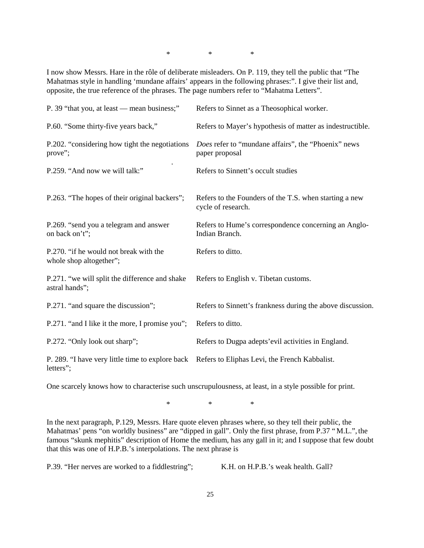\* \* \*

I now show Messrs. Hare in the rôle of deliberate misleaders. On P. 119, they tell the public that "The Mahatmas style in handling 'mundane affairs' appears in the following phrases:". I give their list and, opposite, the true reference of the phrases. The page numbers refer to "Mahatma Letters".

| P. 39 "that you, at least — mean business;"                       | Refers to Sinnet as a Theosophical worker.                                   |
|-------------------------------------------------------------------|------------------------------------------------------------------------------|
| P.60. "Some thirty-five years back,"                              | Refers to Mayer's hypothesis of matter as indestructible.                    |
| P.202. "considering how tight the negotiations<br>prove";         | Does refer to "mundane affairs", the "Phoenix" news<br>paper proposal        |
| P.259. "And now we will talk:"                                    | Refers to Sinnett's occult studies                                           |
| P.263. "The hopes of their original backers";                     | Refers to the Founders of the T.S. when starting a new<br>cycle of research. |
| P.269. "send you a telegram and answer<br>on back on't";          | Refers to Hume's correspondence concerning an Anglo-<br>Indian Branch.       |
| P.270. "if he would not break with the<br>whole shop altogether"; | Refers to ditto.                                                             |
| P.271. "we will split the difference and shake<br>astral hands";  | Refers to English v. Tibetan customs.                                        |
| P.271. "and square the discussion";                               | Refers to Sinnett's frankness during the above discussion.                   |
| P.271. "and I like it the more, I promise you";                   | Refers to ditto.                                                             |
| P.272. "Only look out sharp";                                     | Refers to Dugpa adepts' evil activities in England.                          |
| P. 289. "I have very little time to explore back<br>letters";     | Refers to Eliphas Levi, the French Kabbalist.                                |

One scarcely knows how to characterise such unscrupulousness, at least, in a style possible for print.

\* \* \*

In the next paragraph, P.129, Messrs. Hare quote eleven phrases where, so they tell their public, the Mahatmas' pens "on worldly business" are "dipped in gall". Only the first phrase, from P.37 "M.L.", the famous "skunk mephitis" description of Home the medium, has any gall in it; and I suppose that few doubt that this was one of H.P.B.'s interpolations. The next phrase is

P.39. "Her nerves are worked to a fiddlestring"; K.H. on H.P.B.'s weak health. Gall?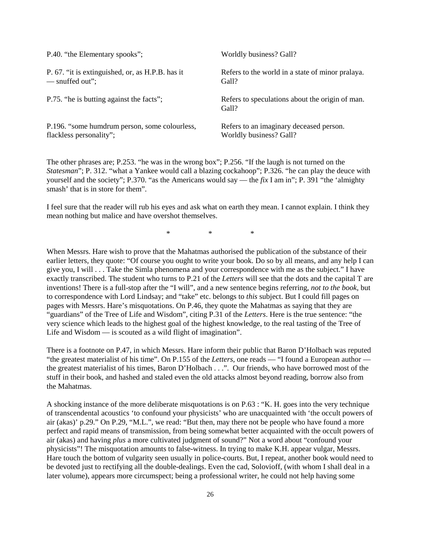| P.40. "the Elementary spooks";                   | Worldly business? Gall?                                  |
|--------------------------------------------------|----------------------------------------------------------|
| P. 67. "it is extinguished, or, as H.P.B. has it | Refers to the world in a state of minor pralaya.         |
| — snuffed out";                                  | Gall?                                                    |
| P.75. "he is butting against the facts";         | Refers to speculations about the origin of man.<br>Gall? |
| P.196. "some humdrum person, some colourless,    | Refers to an imaginary deceased person.                  |
| flackless personality";                          | Worldly business? Gall?                                  |

The other phrases are; P.253. "he was in the wrong box"; P.256. "If the laugh is not turned on the *Statesman*"; P. 312. "what a Yankee would call a blazing cockahoop"; P.326. "he can play the deuce with yourself and the society"; P.370. "as the Americans would say — the *fix* I am in"; P. 391 "the 'almighty smash' that is in store for them".

I feel sure that the reader will rub his eyes and ask what on earth they mean. I cannot explain. I think they mean nothing but malice and have overshot themselves.

\* \* \*

When Messrs. Hare wish to prove that the Mahatmas authorised the publication of the substance of their earlier letters, they quote: "Of course you ought to write your book. Do so by all means, and any help I can give you, I will . . . Take the Simla phenomena and your correspondence with me as the subject." I have exactly transcribed. The student who turns to P.21 of the *Letters* will see that the dots and the capital T are inventions! There is a full-stop after the "I will", and a new sentence begins referring, *not to the book*, but to correspondence with Lord Lindsay; and "take" etc. belongs to *this* subject. But I could fill pages on pages with Messrs. Hare's misquotations. On P.46, they quote the Mahatmas as saying that they are "guardians" of the Tree of Life and Wisdom", citing P.31 of the *Letters*. Here is the true sentence: "the very science which leads to the highest goal of the highest knowledge, to the real tasting of the Tree of Life and Wisdom — is scouted as a wild flight of imagination".

There is a footnote on P.47, in which Messrs. Hare inform their public that Baron D'Holbach was reputed "the greatest materialist of his time". On P.155 of the *Letters*, one reads — "I found a European author the greatest materialist of his times, Baron D'Holbach . . .". Our friends, who have borrowed most of the stuff in their book, and hashed and staled even the old attacks almost beyond reading, borrow also from the Mahatmas.

A shocking instance of the more deliberate misquotations is on P.63 : "K. H. goes into the very technique of transcendental acoustics 'to confound your physicists' who are unacquainted with 'the occult powers of air (akas)' p.29." On P.29, "M.L.", we read: "But then, may there not be people who have found a more perfect and rapid means of transmission, from being somewhat better acquainted with the occult powers of air (akas) and having *plus* a more cultivated judgment of sound?" Not a word about "confound your physicists"! The misquotation amounts to false-witness. In trying to make K.H. appear vulgar, Messrs. Hare touch the bottom of vulgarity seen usually in police-courts. But, I repeat, another book would need to be devoted just to rectifying all the double-dealings. Even the cad, Solovioff, (with whom I shall deal in a later volume), appears more circumspect; being a professional writer, he could not help having some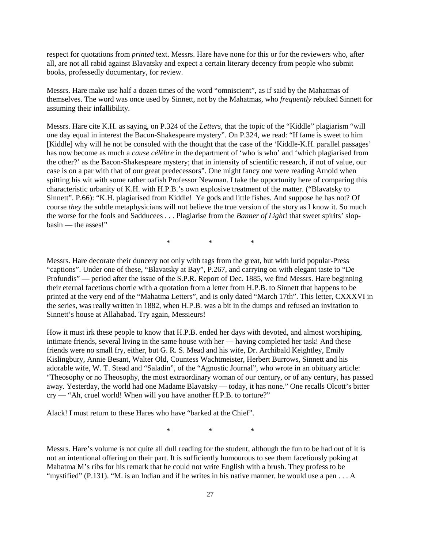respect for quotations from *printed* text. Messrs. Hare have none for this or for the reviewers who, after all, are not all rabid against Blavatsky and expect a certain literary decency from people who submit books, professedly documentary, for review.

Messrs. Hare make use half a dozen times of the word "omniscient", as if said by the Mahatmas of themselves. The word was once used by Sinnett, not by the Mahatmas, who *frequently* rebuked Sinnett for assuming their infallibility.

Messrs. Hare cite K.H. as saying, on P.324 of the *Letters*, that the topic of the "Kiddle" plagiarism "will one day equal in interest the Bacon-Shakespeare mystery". On P.324, we read: "If fame is sweet to him [Kiddle] why will he not be consoled with the thought that the case of the 'Kiddle-K.H. parallel passages' has now become as much a *cause célèbre* in the department of 'who is who' and 'which plagiarised from the other?' as the Bacon-Shakespeare mystery; that in intensity of scientific research, if not of value, our case is on a par with that of our great predecessors". One might fancy one were reading Arnold when spitting his wit with some rather oafish Professor Newman. I take the opportunity here of comparing this characteristic urbanity of K.H. with H.P.B.'s own explosive treatment of the matter. ("Blavatsky to Sinnett". P.66): "K.H. plagiarised from Kiddle! Ye gods and little fishes. And suppose he has not? Of course *they* the subtle metaphysicians will not believe the true version of the story as I know it. So much the worse for the fools and Sadducees . . . Plagiarise from the *Banner of Light*! that sweet spirits' slopbasin — the asses!"

\* \* \*

Messrs. Hare decorate their duncery not only with tags from the great, but with lurid popular-Press "captions". Under one of these, "Blavatsky at Bay", P.267, and carrying on with elegant taste to "De Profundis" — period after the issue of the S.P.R. Report of Dec. 1885, we find Messrs. Hare beginning their eternal facetious chortle with a quotation from a letter from H.P.B. to Sinnett that happens to be printed at the very end of the "Mahatma Letters", and is only dated "March 17th". This letter, CXXXVI in the series, was really written in 1882, when H.P.B. was a bit in the dumps and refused an invitation to Sinnett's house at Allahabad. Try again, Messieurs!

How it must irk these people to know that H.P.B. ended her days with devoted, and almost worshiping, intimate friends, several living in the same house with her — having completed her task! And these friends were no small fry, either, but G. R. S. Mead and his wife, Dr. Archibald Keightley, Emily Kislingbury, Annie Besant, Walter Old, Countess Wachtmeister, Herbert Burrows, Sinnett and his adorable wife, W. T. Stead and "Saladin", of the "Agnostic Journal", who wrote in an obituary article: "Theosophy or no Theosophy, the most extraordinary woman of our century, or of any century, has passed away. Yesterday, the world had one Madame Blavatsky — today, it has none." One recalls Olcott's bitter cry — "Ah, cruel world! When will you have another H.P.B. to torture?"

Alack! I must return to these Hares who have "barked at the Chief".

\* \* \*

Messrs. Hare's volume is not quite all dull reading for the student, although the fun to be had out of it is not an intentional offering on their part. It is sufficiently humourous to see them facetiously poking at Mahatma M's ribs for his remark that he could not write English with a brush. They profess to be "mystified" (P.131). "M. is an Indian and if he writes in his native manner, he would use a pen . . . A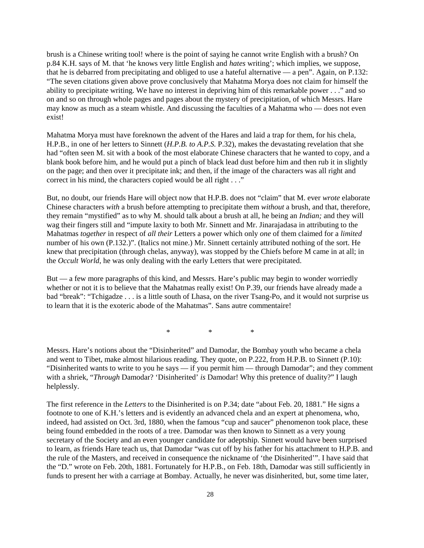brush is a Chinese writing tool! where is the point of saying he cannot write English with a brush? On p.84 K.H. says of M. that 'he knows very little English and *hates* writing'; which implies, we suppose, that he is debarred from precipitating and obliged to use a hateful alternative — a pen". Again, on P.132: "The seven citations given above prove conclusively that Mahatma Morya does not claim for himself the ability to precipitate writing. We have no interest in depriving him of this remarkable power . . ." and so on and so on through whole pages and pages about the mystery of precipitation, of which Messrs. Hare may know as much as a steam whistle. And discussing the faculties of a Mahatma who — does not even exist!

Mahatma Morya must have foreknown the advent of the Hares and laid a trap for them, for his chela, H.P.B., in one of her letters to Sinnett (*H.P.B. to A.P.S.* P.32), makes the devastating revelation that she had "often seen M. sit with a book of the most elaborate Chinese characters that he wanted to copy, and a blank book before him, and he would put a pinch of black lead dust before him and then rub it in slightly on the page; and then over it precipitate ink; and then, if the image of the characters was all right and correct in his mind, the characters copied would be all right . . ."

But, no doubt, our friends Hare will object now that H.P.B. does not "claim" that M. ever *wrote* elaborate Chinese characters *with* a brush before attempting to precipitate them *without* a brush, and that, therefore, they remain "mystified" as to why M. should talk about a brush at all, he being an *Indian;* and they will wag their fingers still and "impute laxity to both Mr. Sinnett and Mr. Jinarajadasa in attributing to the Mahatmas *together* in respect of *all their* Letters a power which only *one* of them claimed for a *limited* number of his own (P.132.)". (Italics not mine.) Mr. Sinnett certainly attributed nothing of the sort. He knew that precipitation (through chelas, anyway), was stopped by the Chiefs before M came in at all; in the *Occult World*, he was only dealing with the early Letters that were precipitated.

But — a few more paragraphs of this kind, and Messrs. Hare's public may begin to wonder worriedly whether or not it is to believe that the Mahatmas really exist! On P.39, our friends have already made a bad "break": "Tchigadze . . . is a little south of Lhasa, on the river Tsang-Po, and it would not surprise us to learn that it is the exoteric abode of the Mahatmas". Sans autre commentaire!

\* \* \*

Messrs. Hare's notions about the "Disinherited" and Damodar, the Bombay youth who became a chela and went to Tibet, make almost hilarious reading. They quote, on P.222, from H.P.B. to Sinnett (P.10): "Disinherited wants to write to you he says — if you permit him — through Damodar"; and they comment with a shriek, "*Through* Damodar? 'Disinherited' *is* Damodar! Why this pretence of duality?" I laugh helplessly.

The first reference in the *Letters* to the Disinherited is on P.34; date "about Feb. 20, 1881." He signs a footnote to one of K.H.'s letters and is evidently an advanced chela and an expert at phenomena, who, indeed, had assisted on Oct. 3rd, 1880, when the famous "cup and saucer" phenomenon took place, these being found embedded in the roots of a tree. Damodar was then known to Sinnett as a very young secretary of the Society and an even younger candidate for adeptship. Sinnett would have been surprised to learn, as friends Hare teach us, that Damodar "was cut off by his father for his attachment to H.P.B. and the rule of the Masters, and received in consequence the nickname of 'the Disinherited'". I have said that the "D." wrote on Feb. 20th, 1881. Fortunately for H.P.B., on Feb. 18th, Damodar was still sufficiently in funds to present her with a carriage at Bombay. Actually, he never was disinherited, but, some time later,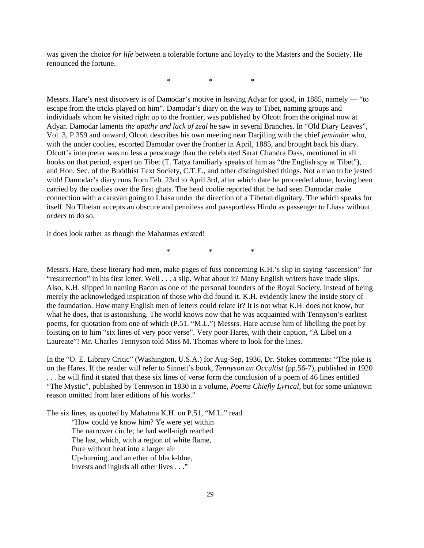was given the choice *for life* between a tolerable fortune and loyalty to the Masters and the Society. He renounced the fortune.

\* \* \*

Messrs. Hare's next discovery is of Damodar's motive in leaving Adyar for good, in 1885, namely — "to escape from the tricks played on him". Damodar's diary on the way to Tibet, naming groups and individuals whom he visited right up to the frontier, was published by Olcott from the original now at Adyar. Damodar laments *the apathy and lack of zeal* he saw in several Branches. In "Old Diary Leaves", Vol. 3, P.359 and onward, Olcott describes his own meeting near Darjiling with the chief *jemindar* who, with the under coolies, escorted Damodar over the frontier in April, 1885, and brought back his diary. Olcott's interpreter was no less a personage than the celebrated Sarat Chandra Dass, mentioned in all books on that period, expert on Tibet (T. Tatya familiarly speaks of him as "the English spy at Tibet"), and Hon. Sec. of the Buddhist Text Society, C.T.E., and other distinguished things. Not a man to be jested with! Damodar's diary runs from Feb. 23rd to April 3rd, after which date he proceeded alone, having been carried by the coolies over the first ghats. The head coolie reported that he had seen Damodar make connection with a caravan going to Lhasa under the direction of a Tibetan dignitary. The which speaks for itself. No Tibetan accepts an obscure and penniless and passportless Hindu as passenger to Lhasa without *orders* to do so.

It does look rather as though the Mahatmas existed!

\* \* \*

Messrs. Hare, these literary hod-men, make pages of fuss concerning K.H.'s slip in saying "ascension" for "resurrection" in his first letter. Well . . . a slip. What about it? Many English writers have made slips. Also, K.H. slipped in naming Bacon as one of the personal founders of the Royal Society, instead of being merely the acknowledged inspiration of those who did found it. K.H. evidently knew the inside story of the foundation. How many English men of letters could relate it? It is not what K.H. does not know, but what he does, that is astonishing. The world knows now that he was acquainted with Tennyson's earliest poems, for quotation from one of which (P.51. "M.L.") Messrs. Hare accuse him of libelling the poet by foisting on to him "six lines of very poor verse". Very poor Hares, with their caption, "A Libel on a Laureate"! Mr. Charles Tennyson told Miss M. Thomas where to look for the lines.

In the "O. E. Library Critic" (Washington, U.S.A.) for Aug-Sep, 1936, Dr. Stokes comments: "The joke is on the Hares. If the reader will refer to Sinnett's book, *Tennyson an Occultist* (pp.56-7), published in 1920 . . . he will find it stated that these six lines of verse form the conclusion of a poem of 46 lines entitled "The Mystic", published by Tennyson in 1830 in a volume, *Poems Chiefly Lyrical*, but for some unknown reason omitted from later editions of his works."

The six lines, as quoted by Mahatma K.H. on P.51, "M.L." read

"How could ye know him? Ye were yet within The narrower circle; he had well-nigh reached The last, which, with a region of white flame, Pure without heat into a larger air Up-burning, and an ether of black-blue, Invests and ingirds all other lives . . ."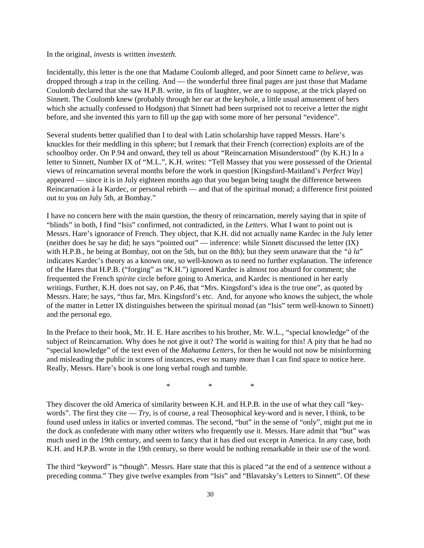In the original, *invests* is written *investeth*.

Incidentally, this letter is the one that Madame Coulomb alleged, and poor Sinnett came *to believe*, was dropped through a trap in the ceiling. And — the wonderful three final pages are just those that Madame Coulomb declared that she saw H.P.B. write, in fits of laughter, we are to suppose, at the trick played on Sinnett. The Coulomb knew (probably through her ear at the keyhole, a little usual amusement of hers which she actually confessed to Hodgson) that Sinnett had been surprised not to receive a letter the night before, and she invented this yarn to fill up the gap with some more of her personal "evidence".

Several students better qualified than I to deal with Latin scholarship have rapped Messrs. Hare's knuckles for their meddling in this sphere; but I remark that their French (correction) exploits are of the schoolboy order. On P.94 and onward, they tell us about "Reincarnation Misunderstood" (by K.H.) In a letter to Sinnett, Number IX of "M.L.", K.H. writes: "Tell Massey that you were possessed of the Oriental views of reincarnation several months before the work in question [Kingsford-Maitland's *Perfect Way*] appeared — since it is in July eighteen months ago that you began being taught the difference between Reincarnation à la Kardec, or personal rebirth — and that of the spiritual monad; a difference first pointed out to you on July 5th, at Bombay."

I have no concern here with the main question, the theory of reincarnation, merely saying that in spite of "blinds" in both, I find "Isis" confirmed, not contradicted, in the *Letters*. What I want to point out is Messrs. Hare's ignorance of French. They object, that K.H. did not actually name Kardec in the July letter (neither does he say he did; he says "pointed out" — inference: while Sinnett discussed the letter (IX) with H.P.B., he being at Bombay, not on the 5th, but on the 8th); but they seem unaware that the *"à la*" indicates Kardec's theory as a known one, so well-known as to need no further explanation. The inference of the Hares that H.P.B. ("forging" as "K.H.") ignored Kardec is almost too absurd for comment; she frequented the French *spirite* circle before going to America, and Kardec is mentioned in her early writings. Further, K.H. does not say, on P.46, that "Mrs. Kingsford's idea is the true one", as quoted by Messrs. Hare; he says, "thus far, Mrs. Kingsford's etc. And, for anyone who knows the subject, the whole of the matter in Letter IX distinguishes between the spiritual monad (an "Isis" term well-known to Sinnett) and the personal ego.

In the Preface to their book, Mr. H. E. Hare ascribes to his brother, Mr. W.L., "special knowledge" of the subject of Reincarnation. Why does he not give it out? The world is waiting for this! A pity that he had no "special knowledge" of the text even of the *Mahatma Letters*, for then he would not now be misinforming and misleading the public in scores of instances, ever so many more than I can find space to notice here. Really, Messrs. Hare's book is one long verbal rough and tumble.

\* \* \*

They discover the old America of similarity between K.H. and H.P.B. in the use of what they call "keywords". The first they cite — *Try*, is of course, a real Theosophical key-word and is never, I think, to be found used unless in italics or inverted commas. The second, "but" in the sense of "only", might put me in the dock as confederate with many other writers who frequently use it. Messrs. Hare admit that "but" was much used in the 19th century, and seem to fancy that it has died out except in America. In any case, both K.H. and H.P.B. wrote in the 19th century, so there would be nothing remarkable in their use of the word.

The third "keyword" is "though". Messrs. Hare state that this is placed "at the end of a sentence without a preceding comma." They give twelve examples from "Isis" and "Blavatsky's Letters to Sinnett". Of these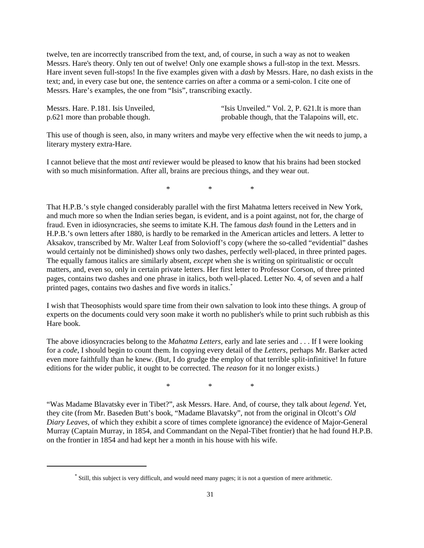twelve, ten are incorrectly transcribed from the text, and, of course, in such a way as not to weaken Messrs. Hare's theory. Only ten out of twelve! Only one example shows a full-stop in the text. Messrs. Hare invent seven full-stops! In the five examples given with a *dash* by Messrs. Hare, no dash exists in the text; and, in every case but one, the sentence carries on after a comma or a semi-colon. I cite one of Messrs. Hare's examples, the one from "Isis", transcribing exactly.

| Messrs. Hare. P.181. Isis Unveiled, | "Isis Unveiled." Vol. 2, P. 621. It is more than |
|-------------------------------------|--------------------------------------------------|
| p.621 more than probable though.    | probable though, that the Talapoins will, etc.   |

This use of though is seen, also, in many writers and maybe very effective when the wit needs to jump, a literary mystery extra-Hare.

I cannot believe that the most *anti* reviewer would be pleased to know that his brains had been stocked with so much misinformation. After all, brains are precious things, and they wear out.

\* \* \*

That H.P.B.'s style changed considerably parallel with the first Mahatma letters received in New York, and much more so when the Indian series began, is evident, and is a point against, not for, the charge of fraud. Even in idiosyncracies, she seems to imitate K.H. The famous *dash* found in the Letters and in H.P.B.'s own letters after 1880, is hardly to be remarked in the American articles and letters. A letter to Aksakov, transcribed by Mr. Walter Leaf from Solovioff's copy (where the so-called "evidential" dashes would certainly not be diminished) shows only two dashes, perfectly well-placed, in three printed pages. The equally famous italics are similarly absent, *except* when she is writing on spiritualistic or occult matters, and, even so, only in certain private letters. Her first letter to Professor Corson, of three printed pages, contains two dashes and one phrase in italics, both well-placed. Letter No. 4, of seven and a half printed pages, contains two dashes and five words in italics.\*

I wish that Theosophists would spare time from their own salvation to look into these things. A group of experts on the documents could very soon make it worth no publisher's while to print such rubbish as this Hare book.

The above idiosyncracies belong to the *Mahatma Letters*, early and late series and . . . If I were looking for a *code*, I should begin to count them. In copying every detail of the *Letters*, perhaps Mr. Barker acted even more faithfully than he knew. (But, I do grudge the employ of that terrible split-infinitive! In future editions for the wider public, it ought to be corrected. The *reason* for it no longer exists.)

\* \* \*

"Was Madame Blavatsky ever in Tibet?", ask Messrs. Hare. And, of course, they talk about *legend*. Yet, they cite (from Mr. Baseden Butt's book, "Madame Blavatsky", not from the original in Olcott's *Old Diary Leaves*, of which they exhibit a score of times complete ignorance) the evidence of Major-General Murray (Captain Murray, in 1854, and Commandant on the Nepal-Tibet frontier) that he had found H.P.B. on the frontier in 1854 and had kept her a month in his house with his wife.

<sup>\*</sup> Still, this subject is very difficult, and would need many pages; it is not a question of mere arithmetic.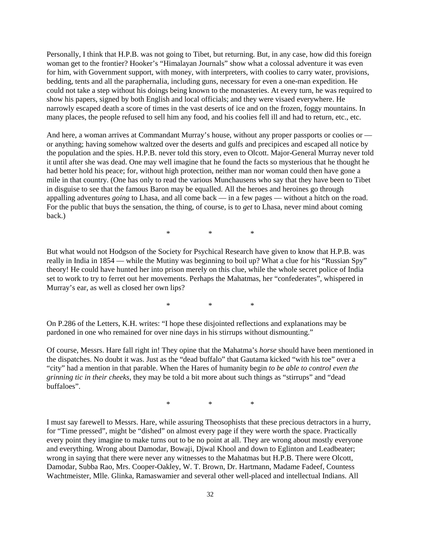Personally, I think that H.P.B. was not going to Tibet, but returning. But, in any case, how did this foreign woman get to the frontier? Hooker's "Himalayan Journals" show what a colossal adventure it was even for him, with Government support, with money, with interpreters, with coolies to carry water, provisions, bedding, tents and all the paraphernalia, including guns, necessary for even a one-man expedition. He could not take a step without his doings being known to the monasteries. At every turn, he was required to show his papers, signed by both English and local officials; and they were visaed everywhere. He narrowly escaped death a score of times in the vast deserts of ice and on the frozen, foggy mountains. In many places, the people refused to sell him any food, and his coolies fell ill and had to return, etc., etc.

And here, a woman arrives at Commandant Murray's house, without any proper passports or coolies or or anything; having somehow waltzed over the deserts and gulfs and precipices and escaped all notice by the population and the spies. H.P.B. never told this story, even to Olcott. Major-General Murray never told it until after she was dead. One may well imagine that he found the facts so mysterious that he thought he had better hold his peace; for, without high protection, neither man nor woman could then have gone a mile in that country. (One has only to read the various Munchausens who say that they have been to Tibet in disguise to see that the famous Baron may be equalled. All the heroes and heroines go through appalling adventures *going* to Lhasa, and all come back — in a few pages — without a hitch on the road. For the public that buys the sensation, the thing, of course, is to *get* to Lhasa, never mind about coming back.)

\* \* \*

But what would not Hodgson of the Society for Psychical Research have given to know that H.P.B. was really in India in 1854 — while the Mutiny was beginning to boil up? What a clue for his "Russian Spy" theory! He could have hunted her into prison merely on this clue, while the whole secret police of India set to work to try to ferret out her movements. Perhaps the Mahatmas, her "confederates", whispered in Murray's ear, as well as closed her own lips?

\* \* \*

On P.286 of the Letters, K.H. writes: "I hope these disjointed reflections and explanations may be pardoned in one who remained for over nine days in his stirrups without dismounting."

Of course, Messrs. Hare fall right in! They opine that the Mahatma's *horse* should have been mentioned in the dispatches. No doubt it was. Just as the "dead buffalo" that Gautama kicked "with his toe" over a "city" had a mention in that parable. When the Hares of humanity begin *to be able to control even the grinning tic in their cheeks*, they may be told a bit more about such things as "stirrups" and "dead buffaloes".

\* \* \*

I must say farewell to Messrs. Hare, while assuring Theosophists that these precious detractors in a hurry, for "Time pressed", might be "dished" on almost every page if they were worth the space. Practically every point they imagine to make turns out to be no point at all. They are wrong about mostly everyone and everything. Wrong about Damodar, Bowaji, Djwal Khool and down to Eglinton and Leadbeater; wrong in saying that there were never any witnesses to the Mahatmas but H.P.B. There were Olcott, Damodar, Subba Rao, Mrs. Cooper-Oakley, W. T. Brown, Dr. Hartmann, Madame Fadeef, Countess Wachtmeister, Mlle. Glinka, Ramaswamier and several other well-placed and intellectual Indians. All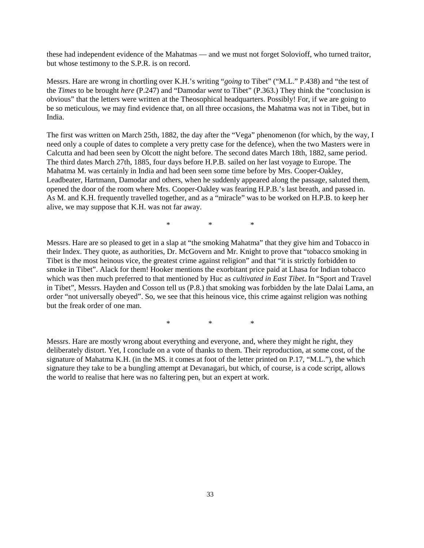these had independent evidence of the Mahatmas — and we must not forget Solovioff, who turned traitor, but whose testimony to the S.P.R. is on record.

Messrs. Hare are wrong in chortling over K.H.'s writing "*going* to Tibet" ("M.L." P.438) and "the test of the *Times* to be brought *here* (P.247) and "Damodar *went* to Tibet" (P.363.) They think the "conclusion is obvious" that the letters were written at the Theosophical headquarters. Possibly! For, if we are going to be so meticulous, we may find evidence that, on all three occasions, the Mahatma was not in Tibet, but in India.

The first was written on March 25th, 1882, the day after the "Vega" phenomenon (for which, by the way, I need only a couple of dates to complete a very pretty case for the defence), when the two Masters were in Calcutta and had been seen by Olcott the night before. The second dates March 18th, 1882, same period. The third dates March 27th, 1885, four days before H.P.B. sailed on her last voyage to Europe. The Mahatma M. was certainly in India and had been seen some time before by Mrs. Cooper-Oakley, Leadbeater, Hartmann, Damodar and others, when he suddenly appeared along the passage, saluted them, opened the door of the room where Mrs. Cooper-Oakley was fearing H.P.B.'s last breath, and passed in. As M. and K.H. frequently travelled together, and as a "miracle" was to be worked on H.P.B. to keep her alive, we may suppose that K.H. was not far away.

\* \* \*

Messrs. Hare are so pleased to get in a slap at "the smoking Mahatma" that they give him and Tobacco in their Index. They quote, as authorities, Dr. McGovern and Mr. Knight to prove that "tobacco smoking in Tibet is the most heinous vice, the greatest crime against religion" and that "it is strictly forbidden to smoke in Tibet". Alack for them! Hooker mentions the exorbitant price paid at Lhasa for Indian tobacco which was then much preferred to that mentioned by Huc as *cultivated in East Tibet*. In "Sport and Travel in Tibet", Messrs. Hayden and Cosson tell us (P.8.) that smoking was forbidden by the late Dalai Lama, an order "not universally obeyed". So, we see that this heinous vice, this crime against religion was nothing but the freak order of one man.

\* \* \*

Messrs. Hare are mostly wrong about everything and everyone, and, where they might he right, they deliberately distort. Yet, I conclude on a vote of thanks to them. Their reproduction, at some cost, of the signature of Mahatma K.H. (in the MS. it comes at foot of the letter printed on P.17, "M.L."), the which signature they take to be a bungling attempt at Devanagari, but which, of course, is a code script, allows the world to realise that here was no faltering pen, but an expert at work.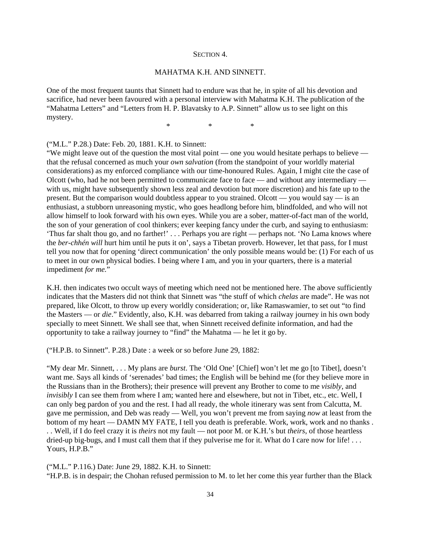#### SECTION 4.

#### MAHATMA K.H. AND SINNETT.

One of the most frequent taunts that Sinnett had to endure was that he, in spite of all his devotion and sacrifice, had never been favoured with a personal interview with Mahatma K.H. The publication of the "Mahatma Letters" and "Letters from H. P. Blavatsky to A.P. Sinnett" allow us to see light on this mystery.

\* \* \*

("M.L." P.28.) Date: Feb. 20, 1881. K.H. to Sinnett:

"We might leave out of the question the most vital point — one you would hesitate perhaps to believe that the refusal concerned as much your *own salvation* (from the standpoint of your worldly material considerations) as my enforced compliance with our time-honoured Rules. Again, I might cite the case of Olcott (who, had he not been permitted to communicate face to face — and without any intermediary with us, might have subsequently shown less zeal and devotion but more discretion) and his fate up to the present. But the comparison would doubtless appear to you strained. Olcott — you would say — is an enthusiast, a stubborn unreasoning mystic, who goes headlong before him, blindfolded, and who will not allow himself to look forward with his own eyes. While you are a sober, matter-of-fact man of the world, the son of your generation of cool thinkers; ever keeping fancy under the curb, and saying to enthusiasm: 'Thus far shalt thou go, and no farther!' . . . Perhaps you are right — perhaps not. 'No Lama knows where the *ber-chhén will* hurt him until he puts it on', says a Tibetan proverb. However, let that pass, for I must tell you now that for opening 'direct communication' the only possible means would be: (1) For each of us to meet in our own physical bodies. I being where I am, and you in your quarters, there is a material impediment *for me.*"

K.H. then indicates two occult ways of meeting which need not be mentioned here. The above sufficiently indicates that the Masters did not think that Sinnett was "the stuff of which *chelas* are made". He was not prepared, like Olcott, to throw up every worldly consideration; or, like Ramaswamier, to set out "to find the Masters — or *die*." Evidently, also, K.H. was debarred from taking a railway journey in his own body specially to meet Sinnett. We shall see that, when Sinnett received definite information, and had the opportunity to take a railway journey to "find" the Mahatma — he let it go by.

("H.P.B. to Sinnett". P.28.) Date : a week or so before June 29, 1882:

"My dear Mr. Sinnett, . . . My plans are *burst*. The 'Old One' [Chief] won't let me go [to Tibet], doesn't want me. Says all kinds of 'serenades' bad times; the English will be behind me (for they believe more in the Russians than in the Brothers); their presence will prevent any Brother to come to me *visibly*, and *invisibly* I can see them from where I am; wanted here and elsewhere, but not in Tibet, etc., etc. Well, I can only beg pardon of you and the rest. I had all ready, the whole itinerary was sent from Calcutta, M. gave me permission, and Deb was ready — Well, you won't prevent me from saying *now* at least from the bottom of my heart — DAMN MY FATE, I tell you death is preferable. Work, work, work and no thanks . . . Well, if I do feel crazy it is *theirs* not my fault — not poor M. or K.H.'s but *theirs*, of those heartless dried-up big-bugs, and I must call them that if they pulverise me for it. What do I care now for life! . . . Yours, H.P.B."

("M.L." P.116.) Date: June 29, 1882. K.H. to Sinnett: "H.P.B. is in despair; the Chohan refused permission to M. to let her come this year further than the Black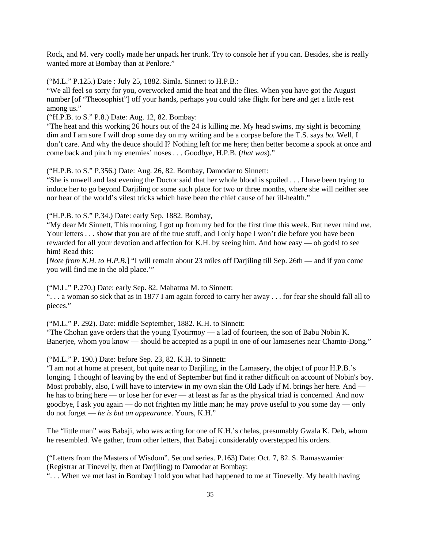Rock, and M. very coolly made her unpack her trunk. Try to console her if you can. Besides, she is really wanted more at Bombay than at Penlore."

("M.L." P.125.) Date : July 25, 1882. Simla. Sinnett to H.P.B.:

"We all feel so sorry for you, overworked amid the heat and the flies. When you have got the August number [of "Theosophist"] off your hands, perhaps you could take flight for here and get a little rest among us."

("H.P.B. to S." P.8.) Date: Aug. 12, 82. Bombay:

"The heat and this working 26 hours out of the 24 is killing me. My head swims, my sight is becoming dim and I am sure I will drop some day on my writing and be a corpse before the T.S. says *bo.* Well, I don't care. And why the deuce should I? Nothing left for me here; then better become a spook at once and come back and pinch my enemies' noses . . . Goodbye, H.P.B. (*that was*)."

("H.P.B. to S." P.356.) Date: Aug. 26, 82. Bombay, Damodar to Sinnett:

"She is unwell and last evening the Doctor said that her whole blood is spoiled . . . I have been trying to induce her to go beyond Darjiling or some such place for two or three months, where she will neither see nor hear of the world's vilest tricks which have been the chief cause of her ill-health."

("H.P.B. to S." P.34.) Date: early Sep. 1882. Bombay,

"My dear Mr Sinnett, This morning, I got up from my bed for the first time this week. But never mind *me*. Your letters . . . show that you are of the true stuff, and I only hope I won't die before you have been rewarded for all your devotion and affection for K.H. by seeing him. And how easy — oh gods! to see him! Read this:

[*Note from K.H. to H.P.B.*] "I will remain about 23 miles off Darjiling till Sep. 26th — and if you come you will find me in the old place.'"

("M.L." P.270.) Date: early Sep. 82. Mahatma M. to Sinnett:

". . . a woman so sick that as in 1877 I am again forced to carry her away . . . for fear she should fall all to pieces."

("M.L." P. 292). Date: middle September, 1882. K.H. to Sinnett:

"The Chohan gave orders that the young Tyotirmoy — a lad of fourteen, the son of Babu Nobin K. Banerjee, whom you know — should be accepted as a pupil in one of our lamaseries near Chamto-Dong."

("M.L." P. 190.) Date: before Sep. 23, 82. K.H. to Sinnett:

"I am not at home at present, but quite near to Darjiling, in the Lamasery, the object of poor H.P.B.'s longing. I thought of leaving by the end of September but find it rather difficult on account of Nobin's boy. Most probably, also, I will have to interview in my own skin the Old Lady if M. brings her here. And he has to bring here — or lose her for ever — at least as far as the physical triad is concerned. And now goodbye, I ask you again — do not frighten my little man; he may prove useful to you some day — only do not forget — *he is but an appearance*. Yours, K.H."

The "little man" was Babaji, who was acting for one of K.H.'s chelas, presumably Gwala K. Deb, whom he resembled. We gather, from other letters, that Babaji considerably overstepped his orders.

("Letters from the Masters of Wisdom". Second series. P.163) Date: Oct. 7, 82. S. Ramaswamier (Registrar at Tinevelly, then at Darjiling) to Damodar at Bombay: ". . . When we met last in Bombay I told you what had happened to me at Tinevelly. My health having